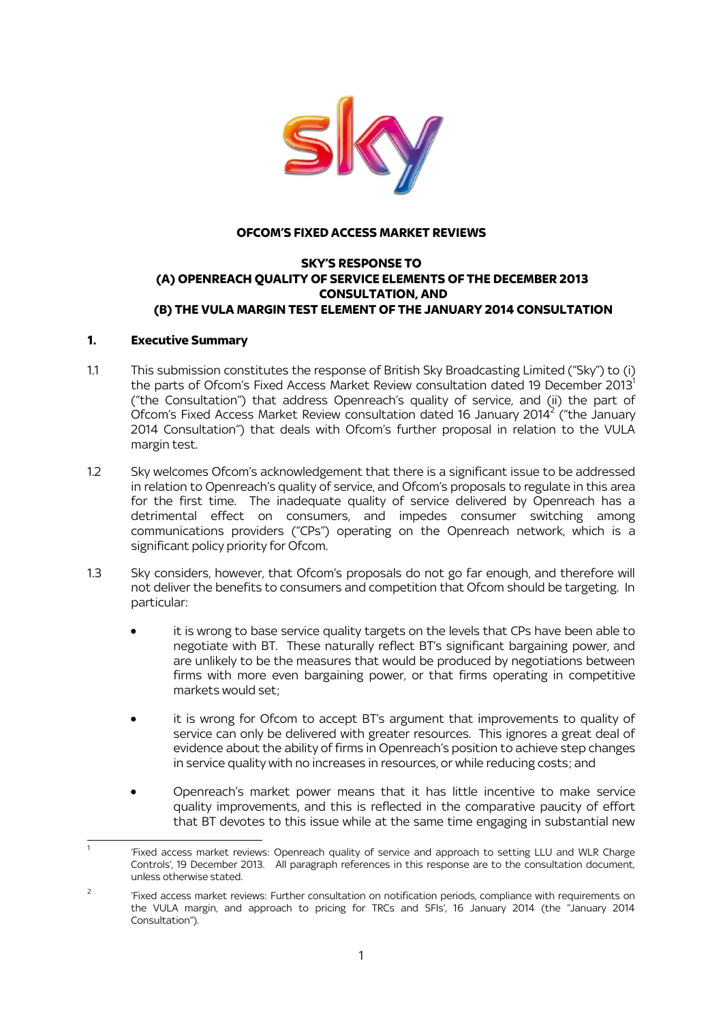

### **OFCOM'S FIXED ACCESS MARKET REVIEWS**

#### **SKY'S RESPONSE TO (A) OPENREACH QUALITY OF SERVICE ELEMENTS OF THE DECEMBER 2013 CONSULTATION, AND (B) THE VULA MARGIN TEST ELEMENT OF THE JANUARY 2014 CONSULTATION**

### **1. Executive Summary**

.

- 1.1 This submission constitutes the response of British Sky Broadcasting Limited ("Sky") to (i) the parts of Ofcom's Fixed Access Market Review consultation dated 19 December 2013 $^1$ ("the Consultation") that address Openreach's quality of service, and (ii) the part of Ofcom's Fixed Access Market Review consultation dated 16 January 2014<sup>2</sup> ("the January 2014 Consultation") that deals with Ofcom's further proposal in relation to the VULA margin test.
- 1.2 Sky welcomes Ofcom's acknowledgement that there is a significant issue to be addressed in relation to Openreach's quality of service, and Ofcom's proposals to regulate in this area for the first time. The inadequate quality of service delivered by Openreach has a detrimental effect on consumers, and impedes consumer switching among communications providers ("CPs") operating on the Openreach network, which is a significant policy priority for Ofcom.
- 1.3 Sky considers, however, that Ofcom's proposals do not go far enough, and therefore will not deliver the benefits to consumers and competition that Ofcom should be targeting. In particular:
	- it is wrong to base service quality targets on the levels that CPs have been able to negotiate with BT. These naturally reflect BT's significant bargaining power, and are unlikely to be the measures that would be produced by negotiations between firms with more even bargaining power, or that firms operating in competitive markets would set;
	- it is wrong for Ofcom to accept BT's argument that improvements to quality of service can only be delivered with greater resources. This ignores a great deal of evidence about the ability of firms in Openreach's position to achieve step changes in service quality with no increases in resources, or while reducing costs; and
	- Openreach's market power means that it has little incentive to make service quality improvements, and this is reflected in the comparative paucity of effort that BT devotes to this issue while at the same time engaging in substantial new

<sup>1</sup> 'Fixed access market reviews: Openreach quality of service and approach to setting LLU and WLR Charge Controls', 19 December 2013. All paragraph references in this response are to the consultation document, unless otherwise stated.

<sup>2</sup> 'Fixed access market reviews: Further consultation on notification periods, compliance with requirements on the VULA margin, and approach to pricing for TRCs and SFIs', 16 January 2014 (the "January 2014 Consultation").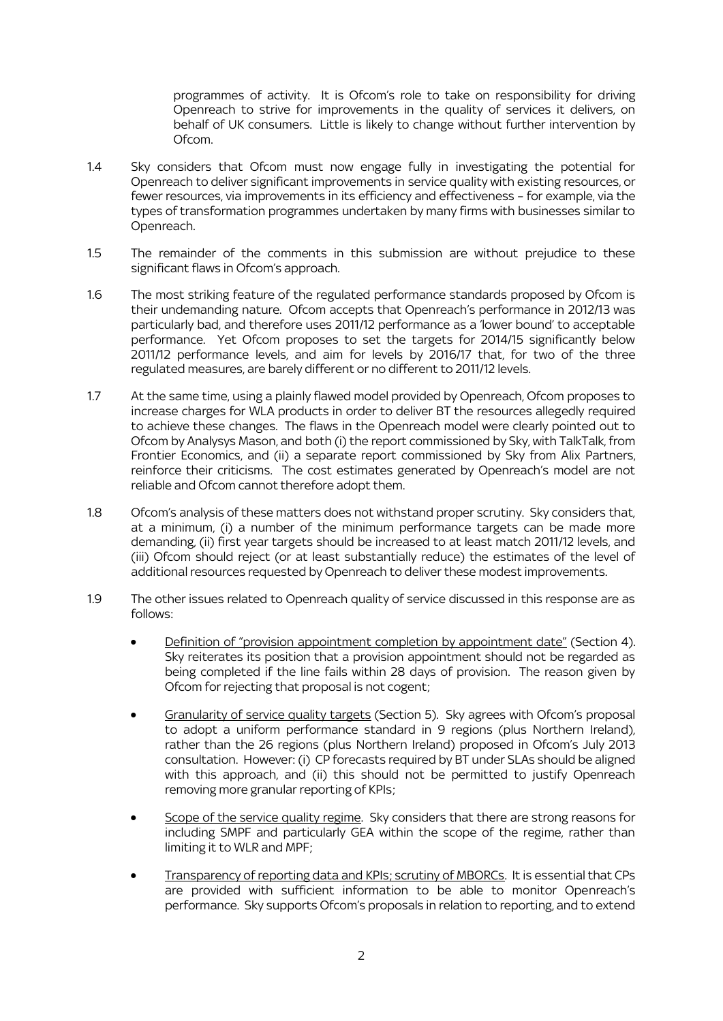programmes of activity. It is Ofcom's role to take on responsibility for driving Openreach to strive for improvements in the quality of services it delivers, on behalf of UK consumers. Little is likely to change without further intervention by Ofcom.

- 1.4 Sky considers that Ofcom must now engage fully in investigating the potential for Openreach to deliver significant improvements in service quality with existing resources, or fewer resources, via improvements in its efficiency and effectiveness – for example, via the types of transformation programmes undertaken by many firms with businesses similar to Openreach.
- 1.5 The remainder of the comments in this submission are without prejudice to these significant flaws in Ofcom's approach.
- 1.6 The most striking feature of the regulated performance standards proposed by Ofcom is their undemanding nature. Ofcom accepts that Openreach's performance in 2012/13 was particularly bad, and therefore uses 2011/12 performance as a 'lower bound' to acceptable performance. Yet Ofcom proposes to set the targets for 2014/15 significantly below 2011/12 performance levels, and aim for levels by 2016/17 that, for two of the three regulated measures, are barely different or no different to 2011/12 levels.
- 1.7 At the same time, using a plainly flawed model provided by Openreach, Ofcom proposes to increase charges for WLA products in order to deliver BT the resources allegedly required to achieve these changes. The flaws in the Openreach model were clearly pointed out to Ofcom by Analysys Mason, and both (i) the report commissioned by Sky, with TalkTalk, from Frontier Economics, and (ii) a separate report commissioned by Sky from Alix Partners, reinforce their criticisms. The cost estimates generated by Openreach's model are not reliable and Ofcom cannot therefore adopt them.
- 1.8 Ofcom's analysis of these matters does not withstand proper scrutiny. Sky considers that, at a minimum, (i) a number of the minimum performance targets can be made more demanding, (ii) first year targets should be increased to at least match 2011/12 levels, and (iii) Ofcom should reject (or at least substantially reduce) the estimates of the level of additional resources requested by Openreach to deliver these modest improvements.
- 1.9 The other issues related to Openreach quality of service discussed in this response are as follows:
	- Definition of "provision appointment completion by appointment date" (Section 4). Sky reiterates its position that a provision appointment should not be regarded as being completed if the line fails within 28 days of provision. The reason given by Ofcom for rejecting that proposal is not cogent;
	- Granularity of service quality targets (Section 5). Sky agrees with Ofcom's proposal to adopt a uniform performance standard in 9 regions (plus Northern Ireland), rather than the 26 regions (plus Northern Ireland) proposed in Ofcom's July 2013 consultation. However: (i) CP forecasts required by BT under SLAs should be aligned with this approach, and (ii) this should not be permitted to justify Openreach removing more granular reporting of KPIs;
	- Scope of the service quality regime. Sky considers that there are strong reasons for including SMPF and particularly GEA within the scope of the regime, rather than limiting it to WLR and MPF;
	- Transparency of reporting data and KPIs; scrutiny of MBORCs. It is essential that CPs are provided with sufficient information to be able to monitor Openreach's performance. Sky supports Ofcom's proposals in relation to reporting, and to extend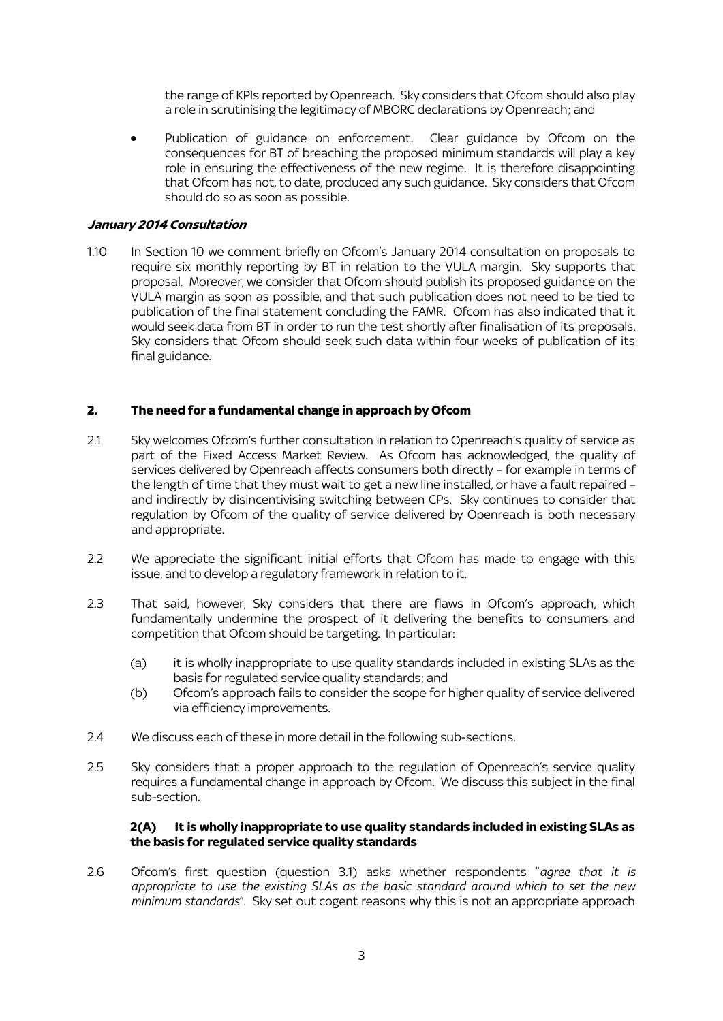the range of KPIs reported by Openreach. Sky considers that Ofcom should also play a role in scrutinising the legitimacy of MBORC declarations by Openreach; and

Publication of guidance on enforcement. Clear guidance by Ofcom on the consequences for BT of breaching the proposed minimum standards will play a key role in ensuring the effectiveness of the new regime. It is therefore disappointing that Ofcom has not, to date, produced any such guidance. Sky considers that Ofcom should do so as soon as possible.

### **January 2014 Consultation**

1.10 In Section 10 we comment briefly on Ofcom's January 2014 consultation on proposals to require six monthly reporting by BT in relation to the VULA margin. Sky supports that proposal. Moreover, we consider that Ofcom should publish its proposed guidance on the VULA margin as soon as possible, and that such publication does not need to be tied to publication of the final statement concluding the FAMR. Ofcom has also indicated that it would seek data from BT in order to run the test shortly after finalisation of its proposals. Sky considers that Ofcom should seek such data within four weeks of publication of its final guidance.

### **2. The need for a fundamental change in approach by Ofcom**

- 2.1 Sky welcomes Ofcom's further consultation in relation to Openreach's quality of service as part of the Fixed Access Market Review. As Ofcom has acknowledged, the quality of services delivered by Openreach affects consumers both directly – for example in terms of the length of time that they must wait to get a new line installed, or have a fault repaired – and indirectly by disincentivising switching between CPs. Sky continues to consider that regulation by Ofcom of the quality of service delivered by Openreach is both necessary and appropriate.
- 2.2 We appreciate the significant initial efforts that Ofcom has made to engage with this issue, and to develop a regulatory framework in relation to it.
- 2.3 That said, however, Sky considers that there are flaws in Ofcom's approach, which fundamentally undermine the prospect of it delivering the benefits to consumers and competition that Ofcom should be targeting. In particular:
	- (a) it is wholly inappropriate to use quality standards included in existing SLAs as the basis for regulated service quality standards; and
	- (b) Ofcom's approach fails to consider the scope for higher quality of service delivered via efficiency improvements.
- 2.4 We discuss each of these in more detail in the following sub-sections.
- 2.5 Sky considers that a proper approach to the regulation of Openreach's service quality requires a fundamental change in approach by Ofcom. We discuss this subject in the final sub-section.

### **2(A) It is wholly inappropriate to use quality standards included in existing SLAs as the basis for regulated service quality standards**

2.6 Ofcom's first question (question 3.1) asks whether respondents "*agree that it is appropriate to use the existing SLAs as the basic standard around which to set the new minimum standards*". Sky set out cogent reasons why this is not an appropriate approach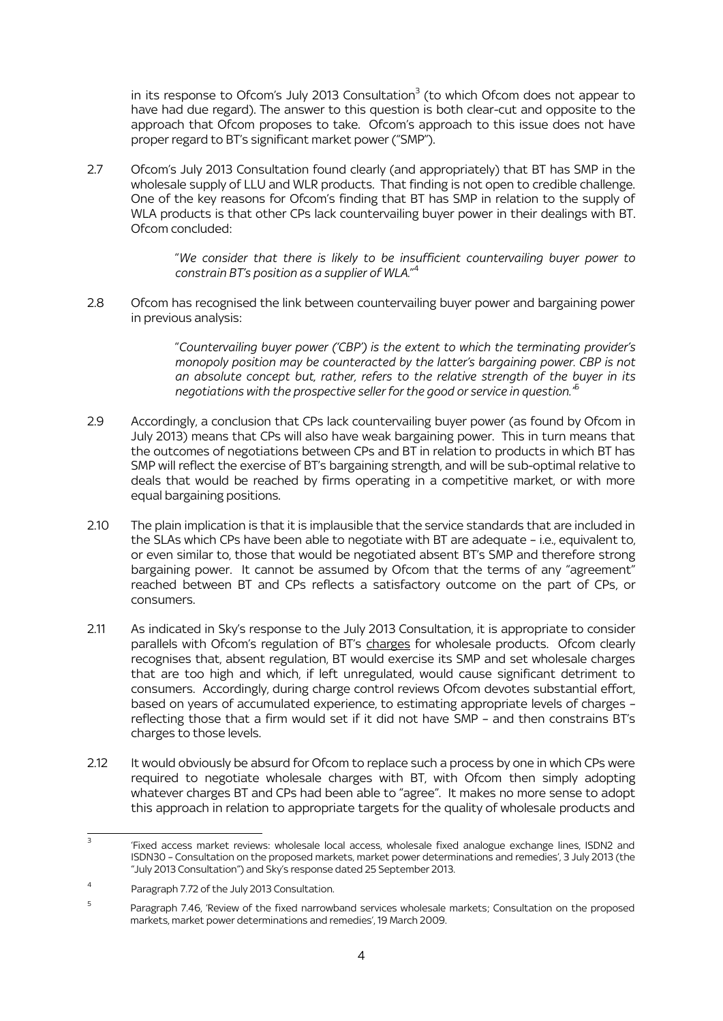in its response to Ofcom's July 2013 Consultation $^3$  (to which Ofcom does not appear to have had due regard). The answer to this question is both clear-cut and opposite to the approach that Ofcom proposes to take. Ofcom's approach to this issue does not have proper regard to BT's significant market power ("SMP").

2.7 Ofcom's July 2013 Consultation found clearly (and appropriately) that BT has SMP in the wholesale supply of LLU and WLR products. That finding is not open to credible challenge. One of the key reasons for Ofcom's finding that BT has SMP in relation to the supply of WLA products is that other CPs lack countervailing buyer power in their dealings with BT. Ofcom concluded:

> "*We consider that there is likely to be insufficient countervailing buyer power to constrain BT's position as a supplier of WLA.*" 4

2.8 Ofcom has recognised the link between countervailing buyer power and bargaining power in previous analysis:

> "*Countervailing buyer power ('CBP') is the extent to which the terminating provider's monopoly position may be counteracted by the latter's bargaining power. CBP is not an absolute concept but, rather, refers to the relative strength of the buyer in its negotiations with the prospective seller for the good or service in question."*<sup>5</sup>

- 2.9 Accordingly, a conclusion that CPs lack countervailing buyer power (as found by Ofcom in July 2013) means that CPs will also have weak bargaining power. This in turn means that the outcomes of negotiations between CPs and BT in relation to products in which BT has SMP will reflect the exercise of BT's bargaining strength, and will be sub-optimal relative to deals that would be reached by firms operating in a competitive market, or with more equal bargaining positions.
- 2.10 The plain implication is that it is implausible that the service standards that are included in the SLAs which CPs have been able to negotiate with BT are adequate – i.e., equivalent to, or even similar to, those that would be negotiated absent BT's SMP and therefore strong bargaining power. It cannot be assumed by Ofcom that the terms of any "agreement" reached between BT and CPs reflects a satisfactory outcome on the part of CPs, or consumers.
- 2.11 As indicated in Sky's response to the July 2013 Consultation, it is appropriate to consider parallels with Ofcom's regulation of BT's charges for wholesale products. Ofcom clearly recognises that, absent regulation, BT would exercise its SMP and set wholesale charges that are too high and which, if left unregulated, would cause significant detriment to consumers. Accordingly, during charge control reviews Ofcom devotes substantial effort, based on years of accumulated experience, to estimating appropriate levels of charges – reflecting those that a firm would set if it did not have SMP – and then constrains BT's charges to those levels.
- 2.12 It would obviously be absurd for Ofcom to replace such a process by one in which CPs were required to negotiate wholesale charges with BT, with Ofcom then simply adopting whatever charges BT and CPs had been able to "agree". It makes no more sense to adopt this approach in relation to appropriate targets for the quality of wholesale products and

 $\frac{1}{3}$ 'Fixed access market reviews: wholesale local access, wholesale fixed analogue exchange lines, ISDN2 and ISDN30 – Consultation on the proposed markets, market power determinations and remedies', 3 July 2013 (the "July 2013 Consultation") and Sky's response dated 25 September 2013.

<sup>4</sup> Paragraph 7.72 of the July 2013 Consultation.

<sup>5</sup> Paragraph 7.46, 'Review of the fixed narrowband services wholesale markets; Consultation on the proposed markets, market power determinations and remedies', 19 March 2009.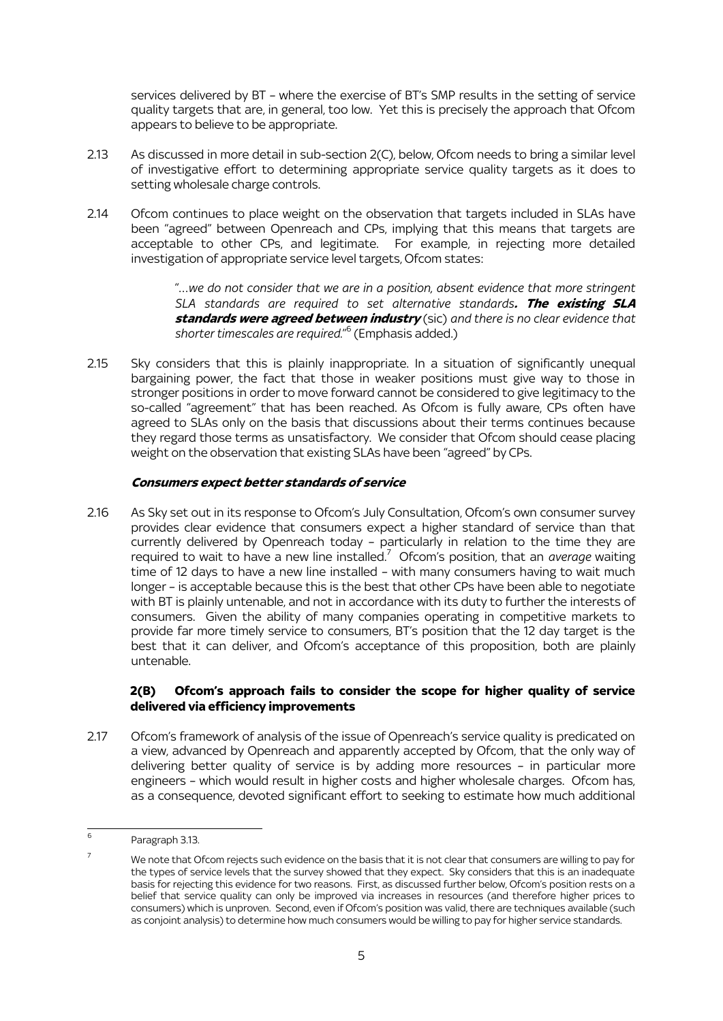services delivered by BT – where the exercise of BT's SMP results in the setting of service quality targets that are, in general, too low. Yet this is precisely the approach that Ofcom appears to believe to be appropriate.

- 2.13 As discussed in more detail in sub-section 2(C), below, Ofcom needs to bring a similar level of investigative effort to determining appropriate service quality targets as it does to setting wholesale charge controls.
- 2.14 Ofcom continues to place weight on the observation that targets included in SLAs have been "agreed" between Openreach and CPs, implying that this means that targets are acceptable to other CPs, and legitimate. For example, in rejecting more detailed investigation of appropriate service level targets, Ofcom states:

"…*we do not consider that we are in a position, absent evidence that more stringent SLA standards are required to set alternative standards***. The existing SLA standards were agreed between industry** (sic) *and there is no clear evidence that shorter timescales are required.*" 6 (Emphasis added.)

2.15 Sky considers that this is plainly inappropriate. In a situation of significantly unequal bargaining power, the fact that those in weaker positions must give way to those in stronger positions in order to move forward cannot be considered to give legitimacy to the so-called "agreement" that has been reached. As Ofcom is fully aware, CPs often have agreed to SLAs only on the basis that discussions about their terms continues because they regard those terms as unsatisfactory. We consider that Ofcom should cease placing weight on the observation that existing SLAs have been "agreed" by CPs.

# **Consumers expect better standards of service**

2.16 As Sky set out in its response to Ofcom's July Consultation, Ofcom's own consumer survey provides clear evidence that consumers expect a higher standard of service than that currently delivered by Openreach today – particularly in relation to the time they are required to wait to have a new line installed.<sup>7</sup> Ofcom's position, that an *average* waiting time of 12 days to have a new line installed – with many consumers having to wait much longer – is acceptable because this is the best that other CPs have been able to negotiate with BT is plainly untenable, and not in accordance with its duty to further the interests of consumers. Given the ability of many companies operating in competitive markets to provide far more timely service to consumers, BT's position that the 12 day target is the best that it can deliver, and Ofcom's acceptance of this proposition, both are plainly untenable.

# **2(B) Ofcom's approach fails to consider the scope for higher quality of service delivered via efficiency improvements**

2.17 Ofcom's framework of analysis of the issue of Openreach's service quality is predicated on a view, advanced by Openreach and apparently accepted by Ofcom, that the only way of delivering better quality of service is by adding more resources – in particular more engineers – which would result in higher costs and higher wholesale charges. Ofcom has, as a consequence, devoted significant effort to seeking to estimate how much additional

 $\frac{1}{6}$ Paragraph 3.13.

 $7$  We note that Ofcom rejects such evidence on the basis that it is not clear that consumers are willing to pay for the types of service levels that the survey showed that they expect. Sky considers that this is an inadequate basis for rejecting this evidence for two reasons. First, as discussed further below, Ofcom's position rests on a belief that service quality can only be improved via increases in resources (and therefore higher prices to consumers) which is unproven. Second, even if Ofcom's position was valid, there are techniques available (such as conjoint analysis) to determine how much consumers would be willing to pay for higher service standards.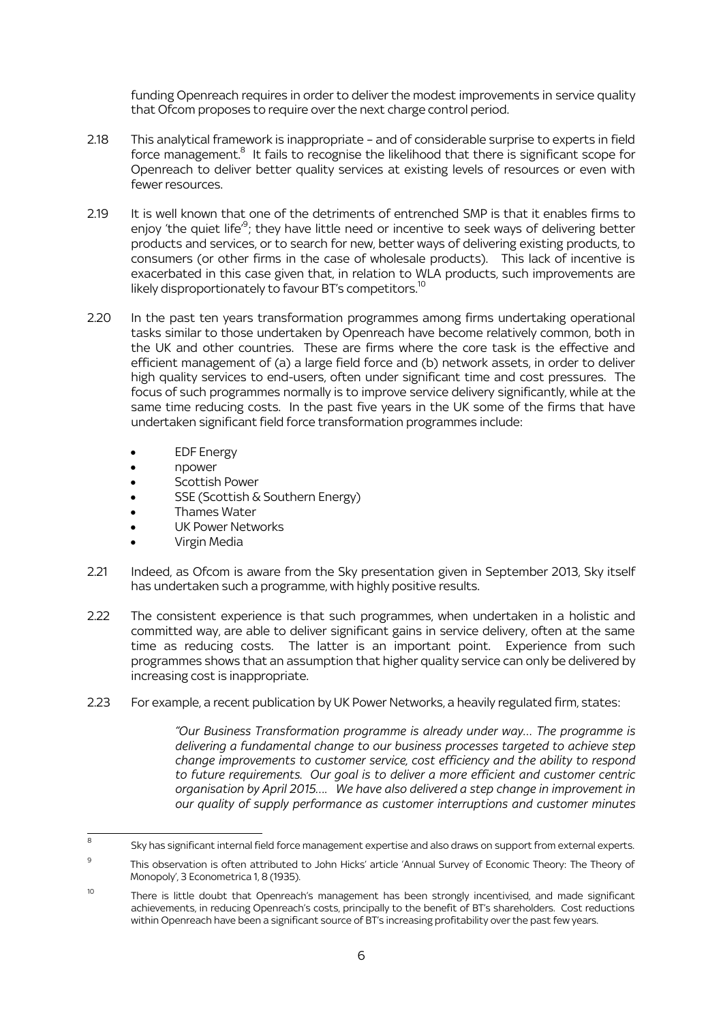funding Openreach requires in order to deliver the modest improvements in service quality that Ofcom proposes to require over the next charge control period.

- 2.18 This analytical framework is inappropriate and of considerable surprise to experts in field force management.<sup>8</sup> It fails to recognise the likelihood that there is significant scope for Openreach to deliver better quality services at existing levels of resources or even with fewer resources.
- 2.19 It is well known that one of the detriments of entrenched SMP is that it enables firms to enjoy 'the quiet life'<sup>9</sup>; they have little need or incentive to seek ways of delivering better products and services, or to search for new, better ways of delivering existing products, to consumers (or other firms in the case of wholesale products). This lack of incentive is exacerbated in this case given that, in relation to WLA products, such improvements are likely disproportionately to favour BT's competitors.<sup>10</sup>  $\overline{a}$
- 2.20 In the past ten years transformation programmes among firms undertaking operational tasks similar to those undertaken by Openreach have become relatively common, both in the UK and other countries. These are firms where the core task is the effective and efficient management of (a) a large field force and (b) network assets, in order to deliver high quality services to end-users, often under significant time and cost pressures. The focus of such programmes normally is to improve service delivery significantly, while at the same time reducing costs. In the past five years in the UK some of the firms that have undertaken significant field force transformation programmes include:
	- EDF Energy
	- npower
	- Scottish Power
	- SSE (Scottish & Southern Energy)
	- Thames Water
	- UK Power Networks
	- Virgin Media
- 2.21 Indeed, as Ofcom is aware from the Sky presentation given in September 2013, Sky itself has undertaken such a programme, with highly positive results.
- 2.22 The consistent experience is that such programmes, when undertaken in a holistic and committed way, are able to deliver significant gains in service delivery, often at the same time as reducing costs. The latter is an important point. Experience from such programmes shows that an assumption that higher quality service can only be delivered by increasing cost is inappropriate.
- 2.23 For example, a recent publication by UK Power Networks, a heavily regulated firm, states:

*"Our Business Transformation programme is already under way… The programme is delivering a fundamental change to our business processes targeted to achieve step change improvements to customer service, cost efficiency and the ability to respond to future requirements. Our goal is to deliver a more efficient and customer centric organisation by April 2015…. We have also delivered a step change in improvement in our quality of supply performance as customer interruptions and customer minutes* 

<sup>-&</sup>lt;br>8 Sky has significant internal field force management expertise and also draws on support from external experts.

 $\alpha$ This observation is often attributed to John Hicks' article 'Annual Survey of Economic Theory: The Theory of Monopoly', 3 Econometrica 1, 8 (1935).

<sup>&</sup>lt;sup>10</sup> There is little doubt that Openreach's management has been strongly incentivised, and made significant achievements, in reducing Openreach's costs, principally to the benefit of BT's shareholders. Cost reductions within Openreach have been a significant source of BT's increasing profitability over the past few years.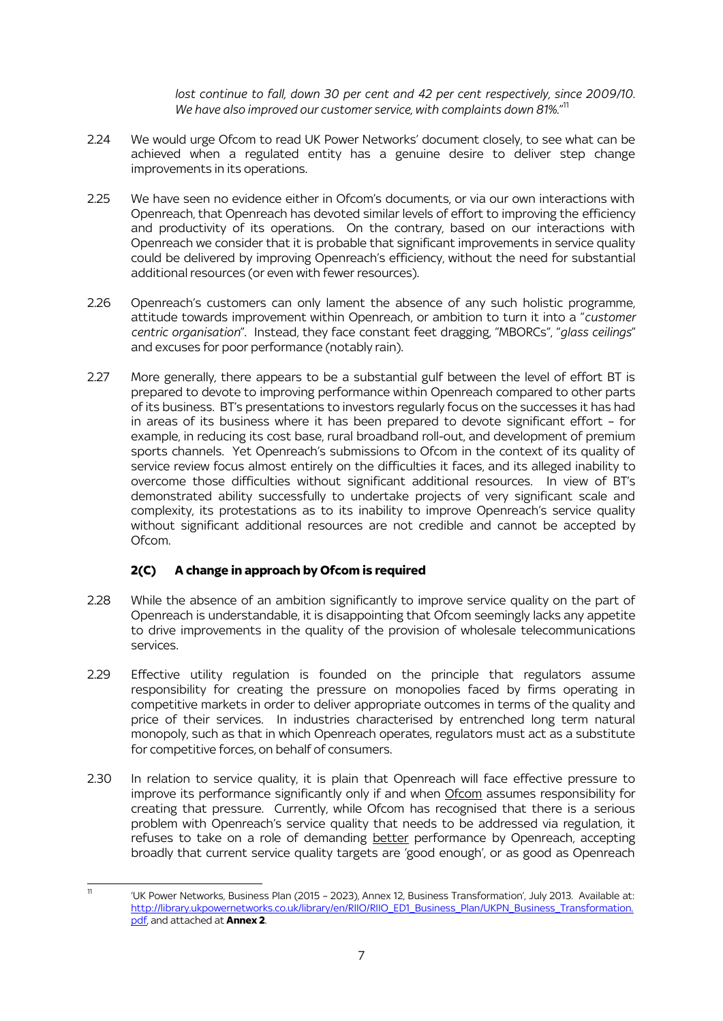lost continue to fall, down 30 per cent and 42 per cent respectively, since 2009/10. *We have also improved our customer service, with complaints down 81%.*" 11

- 2.24 We would urge Ofcom to read UK Power Networks' document closely, to see what can be achieved when a regulated entity has a genuine desire to deliver step change improvements in its operations.
- 2.25 We have seen no evidence either in Ofcom's documents, or via our own interactions with Openreach, that Openreach has devoted similar levels of effort to improving the efficiency and productivity of its operations. On the contrary, based on our interactions with Openreach we consider that it is probable that significant improvements in service quality could be delivered by improving Openreach's efficiency, without the need for substantial additional resources (or even with fewer resources).
- 2.26 Openreach's customers can only lament the absence of any such holistic programme, attitude towards improvement within Openreach, or ambition to turn it into a "*customer centric organisation*". Instead, they face constant feet dragging, "MBORCs", "*glass ceilings*" and excuses for poor performance (notably rain).
- 2.27 More generally, there appears to be a substantial gulf between the level of effort BT is prepared to devote to improving performance within Openreach compared to other parts of its business. BT's presentations to investors regularly focus on the successes it has had in areas of its business where it has been prepared to devote significant effort – for example, in reducing its cost base, rural broadband roll-out, and development of premium sports channels. Yet Openreach's submissions to Ofcom in the context of its quality of service review focus almost entirely on the difficulties it faces, and its alleged inability to overcome those difficulties without significant additional resources. In view of BT's demonstrated ability successfully to undertake projects of very significant scale and complexity, its protestations as to its inability to improve Openreach's service quality without significant additional resources are not credible and cannot be accepted by Ofcom.

# **2(C) A change in approach by Ofcom is required**

- 2.28 While the absence of an ambition significantly to improve service quality on the part of Openreach is understandable, it is disappointing that Ofcom seemingly lacks any appetite to drive improvements in the quality of the provision of wholesale telecommunications services.
- 2.29 Effective utility regulation is founded on the principle that regulators assume responsibility for creating the pressure on monopolies faced by firms operating in competitive markets in order to deliver appropriate outcomes in terms of the quality and price of their services. In industries characterised by entrenched long term natural monopoly, such as that in which Openreach operates, regulators must act as a substitute for competitive forces, on behalf of consumers.
- 2.30 In relation to service quality, it is plain that Openreach will face effective pressure to improve its performance significantly only if and when Ofcom assumes responsibility for creating that pressure. Currently, while Ofcom has recognised that there is a serious problem with Openreach's service quality that needs to be addressed via regulation, it refuses to take on a role of demanding **better** performance by Openreach, accepting broadly that current service quality targets are 'good enough', or as good as Openreach

<sup>.</sup> <sup>11</sup> 'UK Power Networks, Business Plan (2015 – 2023), Annex 12, Business Transformation', July 2013. Available at: [http://library.ukpowernetworks.co.uk/library/en/RIIO/RIIO\\_ED1\\_Business\\_Plan/UKPN\\_Business\\_Transformation.](http://library.ukpowernetworks.co.uk/library/en/RIIO/RIIO_ED1_Business_Plan/UKPN_Business_Transformation.pdf) [pdf,](http://library.ukpowernetworks.co.uk/library/en/RIIO/RIIO_ED1_Business_Plan/UKPN_Business_Transformation.pdf) and attached at **Annex 2**.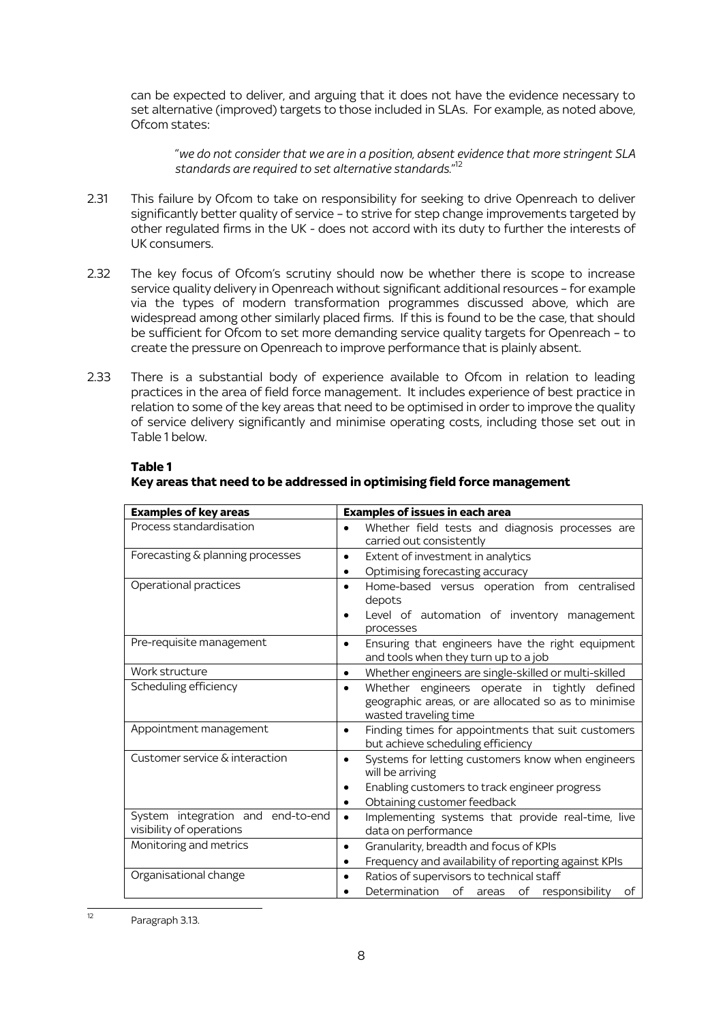can be expected to deliver, and arguing that it does not have the evidence necessary to set alternative (improved) targets to those included in SLAs. For example, as noted above, Ofcom states:

"*we do not consider that we are in a position, absent evidence that more stringent SLA standards are required to set alternative standards.*" 12

- 2.31 This failure by Ofcom to take on responsibility for seeking to drive Openreach to deliver significantly better quality of service – to strive for step change improvements targeted by other regulated firms in the UK - does not accord with its duty to further the interests of UK consumers.
- 2.32 The key focus of Ofcom's scrutiny should now be whether there is scope to increase service quality delivery in Openreach without significant additional resources – for example via the types of modern transformation programmes discussed above, which are widespread among other similarly placed firms. If this is found to be the case, that should be sufficient for Ofcom to set more demanding service quality targets for Openreach – to create the pressure on Openreach to improve performance that is plainly absent.
- 2.33 There is a substantial body of experience available to Ofcom in relation to leading practices in the area of field force management. It includes experience of best practice in relation to some of the key areas that need to be optimised in order to improve the quality of service delivery significantly and minimise operating costs, including those set out in Table 1 below.

| <b>Examples of key areas</b>                                  | <b>Examples of issues in each area</b>                                                                                                                             |  |
|---------------------------------------------------------------|--------------------------------------------------------------------------------------------------------------------------------------------------------------------|--|
| Process standardisation                                       | Whether field tests and diagnosis processes are<br>carried out consistently                                                                                        |  |
| Forecasting & planning processes                              | Extent of investment in analytics<br>$\bullet$<br>Optimising forecasting accuracy<br>٠                                                                             |  |
| Operational practices                                         | Home-based versus operation from centralised<br>depots<br>Level of automation of inventory management<br>$\bullet$<br>processes                                    |  |
| Pre-requisite management                                      | Ensuring that engineers have the right equipment<br>and tools when they turn up to a job                                                                           |  |
| Work structure                                                | Whether engineers are single-skilled or multi-skilled<br>$\bullet$                                                                                                 |  |
| Scheduling efficiency                                         | Whether engineers operate in tightly defined<br>geographic areas, or are allocated so as to minimise<br>wasted traveling time                                      |  |
| Appointment management                                        | Finding times for appointments that suit customers<br>$\bullet$<br>but achieve scheduling efficiency                                                               |  |
| Customer service & interaction                                | Systems for letting customers know when engineers<br>will be arriving<br>Enabling customers to track engineer progress<br>Obtaining customer feedback<br>$\bullet$ |  |
| System integration and end-to-end<br>visibility of operations | Implementing systems that provide real-time, live<br>$\bullet$<br>data on performance                                                                              |  |
| Monitoring and metrics                                        | Granularity, breadth and focus of KPIs<br>Frequency and availability of reporting against KPIs                                                                     |  |
| Organisational change                                         | Ratios of supervisors to technical staff<br>٠<br>Determination of areas of responsibility<br>of                                                                    |  |

#### **Table 1**

# **Key areas that need to be addressed in optimising field force management**

.

 $\overline{12}$  Paragraph 3.13.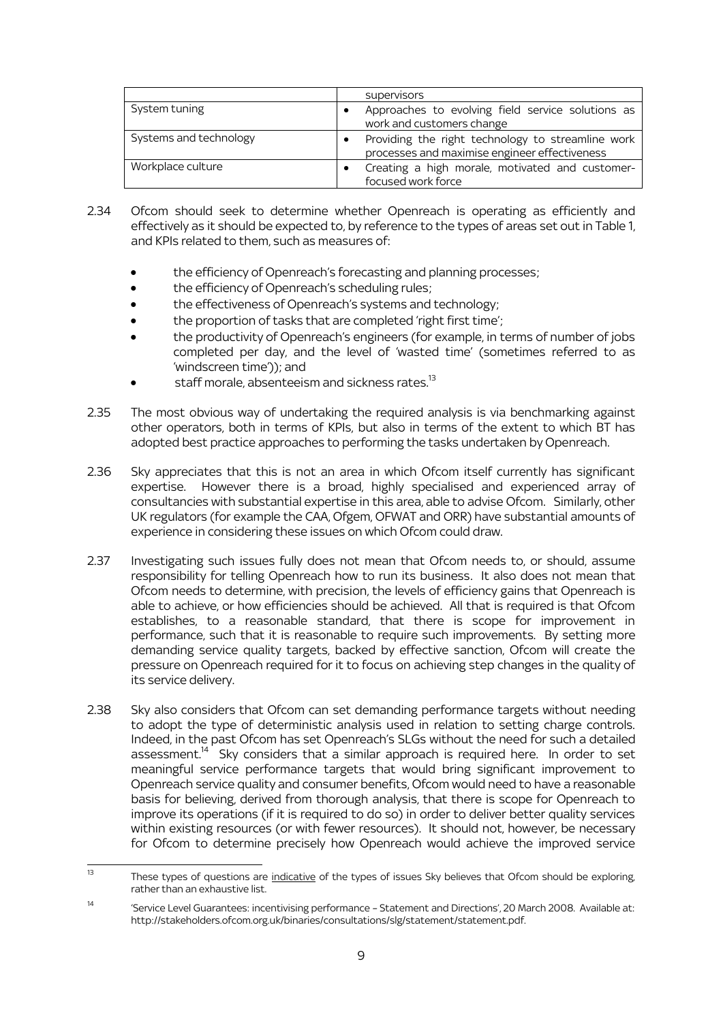|                        | supervisors                                                                                        |
|------------------------|----------------------------------------------------------------------------------------------------|
| System tuning          | Approaches to evolving field service solutions as<br>work and customers change                     |
| Systems and technology | Providing the right technology to streamline work<br>processes and maximise engineer effectiveness |
| Workplace culture      | Creating a high morale, motivated and customer-<br>focused work force                              |

- 2.34 Ofcom should seek to determine whether Openreach is operating as efficiently and effectively as it should be expected to, by reference to the types of areas set out in Table 1, and KPIs related to them, such as measures of:
	- the efficiency of Openreach's forecasting and planning processes;
	- the efficiency of Openreach's scheduling rules;
	- the effectiveness of Openreach's systems and technology;
	- the proportion of tasks that are completed 'right first time';
	- the productivity of Openreach's engineers (for example, in terms of number of jobs completed per day, and the level of 'wasted time' (sometimes referred to as 'windscreen time')); and
	- staff morale, absenteeism and sickness rates.<sup>13</sup>
- 2.35 The most obvious way of undertaking the required analysis is via benchmarking against other operators, both in terms of KPIs, but also in terms of the extent to which BT has adopted best practice approaches to performing the tasks undertaken by Openreach.
- 2.36 Sky appreciates that this is not an area in which Ofcom itself currently has significant expertise. However there is a broad, highly specialised and experienced array of consultancies with substantial expertise in this area, able to advise Ofcom. Similarly, other UK regulators (for example the CAA, Ofgem, OFWAT and ORR) have substantial amounts of experience in considering these issues on which Ofcom could draw.
- 2.37 Investigating such issues fully does not mean that Ofcom needs to, or should, assume responsibility for telling Openreach how to run its business. It also does not mean that Ofcom needs to determine, with precision, the levels of efficiency gains that Openreach is able to achieve, or how efficiencies should be achieved. All that is required is that Ofcom establishes, to a reasonable standard, that there is scope for improvement in performance, such that it is reasonable to require such improvements. By setting more demanding service quality targets, backed by effective sanction, Ofcom will create the pressure on Openreach required for it to focus on achieving step changes in the quality of its service delivery.
- 2.38 Sky also considers that Ofcom can set demanding performance targets without needing to adopt the type of deterministic analysis used in relation to setting charge controls. Indeed, in the past Ofcom has set Openreach's SLGs without the need for such a detailed assessment.<sup>14</sup> Sky considers that a similar approach is required here. In order to set meaningful service performance targets that would bring significant improvement to Openreach service quality and consumer benefits, Ofcom would need to have a reasonable basis for believing, derived from thorough analysis, that there is scope for Openreach to improve its operations (if it is required to do so) in order to deliver better quality services within existing resources (or with fewer resources). It should not, however, be necessary for Ofcom to determine precisely how Openreach would achieve the improved service

<sup>.</sup> These types of questions are <u>indicative</u> of the types of issues Sky believes that Ofcom should be exploring, rather than an exhaustive list.

<sup>&</sup>lt;sup>14</sup> 'Service Level Guarantees: incentivising performance - Statement and Directions', 20 March 2008. Available at: http://stakeholders.ofcom.org.uk/binaries/consultations/slg/statement/statement.pdf.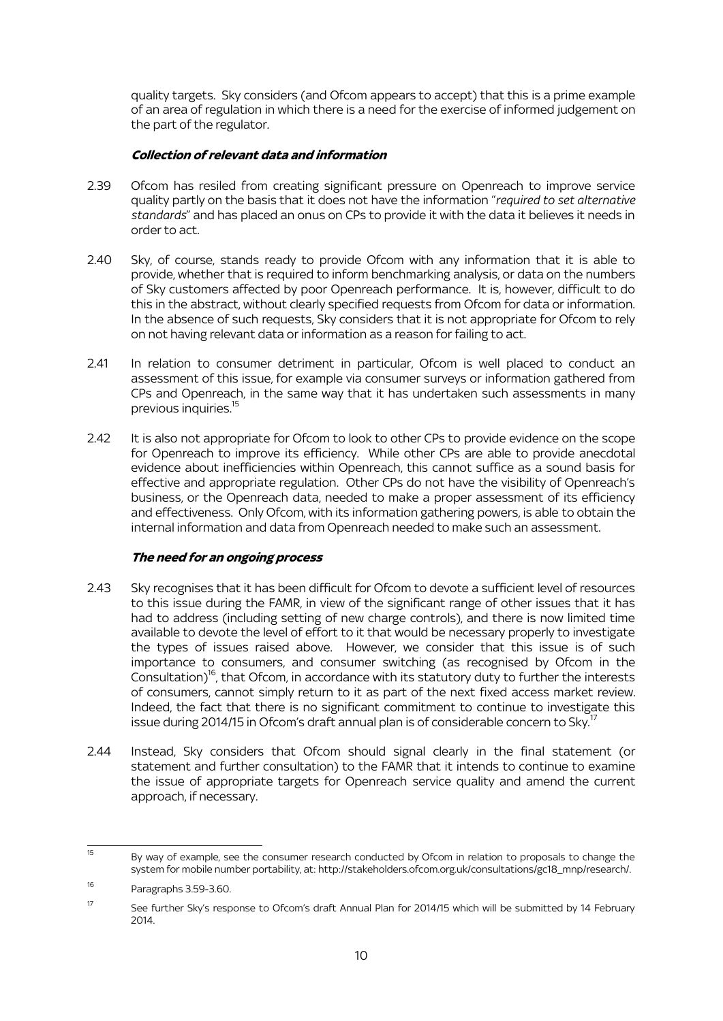quality targets. Sky considers (and Ofcom appears to accept) that this is a prime example of an area of regulation in which there is a need for the exercise of informed judgement on the part of the regulator.

### **Collection of relevant data and information**

- 2.39 Ofcom has resiled from creating significant pressure on Openreach to improve service quality partly on the basis that it does not have the information "*required to set alternative standards*" and has placed an onus on CPs to provide it with the data it believes it needs in order to act.
- 2.40 Sky, of course, stands ready to provide Ofcom with any information that it is able to provide, whether that is required to inform benchmarking analysis, or data on the numbers of Sky customers affected by poor Openreach performance. It is, however, difficult to do this in the abstract, without clearly specified requests from Ofcom for data or information. In the absence of such requests, Sky considers that it is not appropriate for Ofcom to rely on not having relevant data or information as a reason for failing to act.
- 2.41 In relation to consumer detriment in particular, Ofcom is well placed to conduct an assessment of this issue, for example via consumer surveys or information gathered from CPs and Openreach, in the same way that it has undertaken such assessments in many previous inquiries.<sup>15</sup>
- 2.42 It is also not appropriate for Ofcom to look to other CPs to provide evidence on the scope for Openreach to improve its efficiency. While other CPs are able to provide anecdotal evidence about inefficiencies within Openreach, this cannot suffice as a sound basis for effective and appropriate regulation. Other CPs do not have the visibility of Openreach's business, or the Openreach data, needed to make a proper assessment of its efficiency and effectiveness. Only Ofcom, with its information gathering powers, is able to obtain the internal information and data from Openreach needed to make such an assessment.

# **The need for an ongoing process**

- 2.43 Sky recognises that it has been difficult for Ofcom to devote a sufficient level of resources to this issue during the FAMR, in view of the significant range of other issues that it has had to address (including setting of new charge controls), and there is now limited time available to devote the level of effort to it that would be necessary properly to investigate the types of issues raised above. However, we consider that this issue is of such importance to consumers, and consumer switching (as recognised by Ofcom in the Consultation) <sup>16</sup>, that Ofcom, in accordance with its statutory duty to further the interests of consumers, cannot simply return to it as part of the next fixed access market review. Indeed, the fact that there is no significant commitment to continue to investigate this issue during 2014/15 in Ofcom's draft annual plan is of considerable concern to Sky.<sup>17</sup>
- 2.44 Instead, Sky considers that Ofcom should signal clearly in the final statement (or statement and further consultation) to the FAMR that it intends to continue to examine the issue of appropriate targets for Openreach service quality and amend the current approach, if necessary.

 $15$ By way of example, see the consumer research conducted by Ofcom in relation to proposals to change the system for mobile number portability, at: http://stakeholders.ofcom.org.uk/consultations/gc18\_mnp/research/.

<sup>16</sup> Paragraphs 3.59-3.60.

<sup>&</sup>lt;sup>17</sup> See further Sky's response to Ofcom's draft Annual Plan for 2014/15 which will be submitted by 14 February 2014.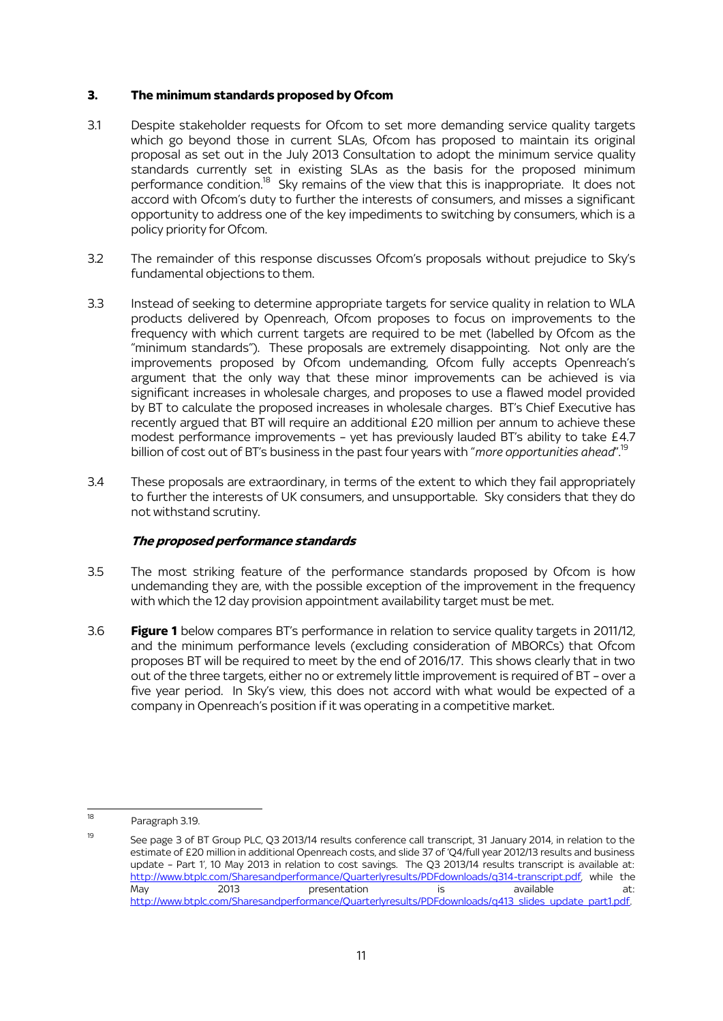## **3. The minimum standards proposed by Ofcom**

- 3.1 Despite stakeholder requests for Ofcom to set more demanding service quality targets which go beyond those in current SLAs, Ofcom has proposed to maintain its original proposal as set out in the July 2013 Consultation to adopt the minimum service quality standards currently set in existing SLAs as the basis for the proposed minimum performance condition.<sup>18</sup> Sky remains of the view that this is inappropriate. It does not accord with Ofcom's duty to further the interests of consumers, and misses a significant opportunity to address one of the key impediments to switching by consumers, which is a policy priority for Ofcom.
- 3.2 The remainder of this response discusses Ofcom's proposals without prejudice to Sky's fundamental objections to them.
- 3.3 Instead of seeking to determine appropriate targets for service quality in relation to WLA products delivered by Openreach, Ofcom proposes to focus on improvements to the frequency with which current targets are required to be met (labelled by Ofcom as the "minimum standards"). These proposals are extremely disappointing. Not only are the improvements proposed by Ofcom undemanding, Ofcom fully accepts Openreach's argument that the only way that these minor improvements can be achieved is via significant increases in wholesale charges, and proposes to use a flawed model provided by BT to calculate the proposed increases in wholesale charges. BT's Chief Executive has recently argued that BT will require an additional £20 million per annum to achieve these modest performance improvements – yet has previously lauded BT's ability to take £4.7 billion of cost out of BT's business in the past four years with "*more opportunities ahead*". 19
- 3.4 These proposals are extraordinary, in terms of the extent to which they fail appropriately to further the interests of UK consumers, and unsupportable. Sky considers that they do not withstand scrutiny.

# **The proposed performance standards**

- 3.5 The most striking feature of the performance standards proposed by Ofcom is how undemanding they are, with the possible exception of the improvement in the frequency with which the 12 day provision appointment availability target must be met.
- 3.6 **Figure 1** below compares BT's performance in relation to service quality targets in 2011/12, and the minimum performance levels (excluding consideration of MBORCs) that Ofcom proposes BT will be required to meet by the end of 2016/17. This shows clearly that in two out of the three targets, either no or extremely little improvement is required of BT – over a five year period. In Sky's view, this does not accord with what would be expected of a company in Openreach's position if it was operating in a competitive market.

<sup>18</sup> Paragraph 3.19.

<sup>&</sup>lt;sup>19</sup> See page 3 of BT Group PLC, Q3 2013/14 results conference call transcript, 31 January 2014, in relation to the estimate of £20 million in additional Openreach costs, and slide 37 of 'Q4/full year 2012/13 results and business update – Part 1', 10 May 2013 in relation to cost savings. The Q3 2013/14 results transcript is available at: [http://www.btplc.com/Sharesandperformance/Quarterlyresults/PDFdownloads/q314-transcript.pdf,](http://www.btplc.com/Sharesandperformance/Quarterlyresults/PDFdownloads/q314-transcript.pdf) while the May 2013 presentation is available at: [http://www.btplc.com/Sharesandperformance/Quarterlyresults/PDFdownloads/q413\\_slides\\_update\\_part1.pdf.](http://www.btplc.com/Sharesandperformance/Quarterlyresults/PDFdownloads/q413_slides_update_part1.pdf)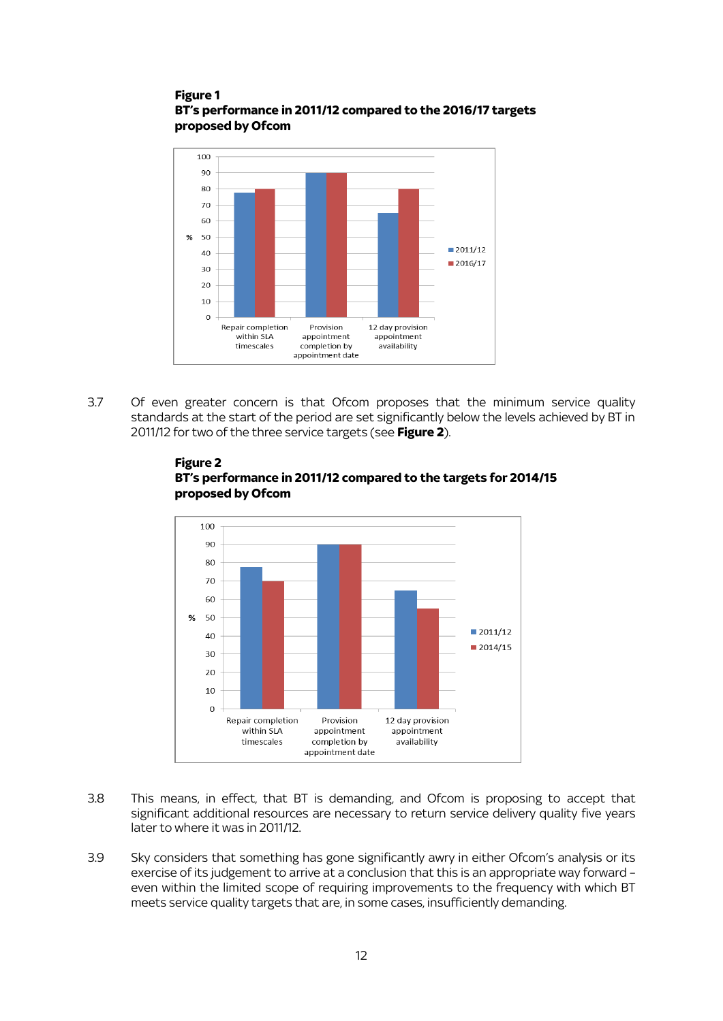### **Figure 1 BT's performance in 2011/12 compared to the 2016/17 targets proposed by Ofcom**



3.7 Of even greater concern is that Ofcom proposes that the minimum service quality standards at the start of the period are set significantly below the levels achieved by BT in 2011/12 for two of the three service targets (see **Figure 2**).



**Figure 2 BT's performance in 2011/12 compared to the targets for 2014/15 proposed by Ofcom**

- 3.8 This means, in effect, that BT is demanding, and Ofcom is proposing to accept that significant additional resources are necessary to return service delivery quality five years later to where it was in 2011/12.
- 3.9 Sky considers that something has gone significantly awry in either Ofcom's analysis or its exercise of its judgement to arrive at a conclusion that this is an appropriate way forward – even within the limited scope of requiring improvements to the frequency with which BT meets service quality targets that are, in some cases, insufficiently demanding.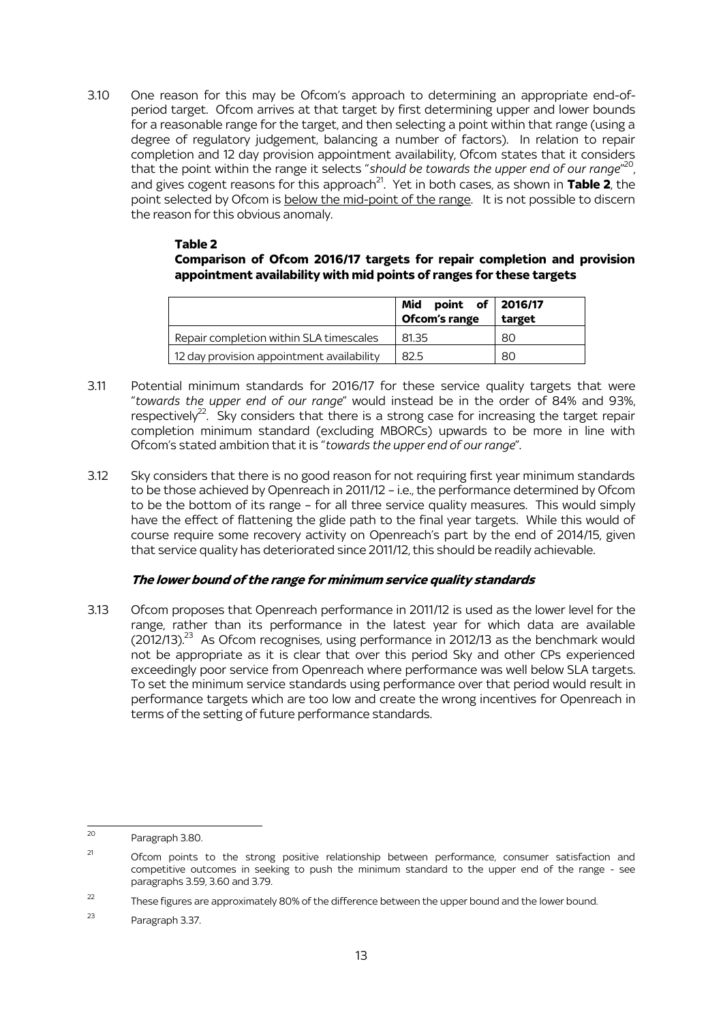3.10 One reason for this may be Ofcom's approach to determining an appropriate end-ofperiod target. Ofcom arrives at that target by first determining upper and lower bounds for a reasonable range for the target, and then selecting a point within that range (using a degree of regulatory judgement, balancing a number of factors). In relation to repair completion and 12 day provision appointment availability, Ofcom states that it considers that the point within the range it selects "*should be towards the upper end of our range*" 20 , and gives cogent reasons for this approach<sup>21</sup>. Yet in both cases, as shown in **Table 2**, the point selected by Ofcom is below the mid-point of the range. It is not possible to discern the reason for this obvious anomaly.

### **Table 2 Comparison of Ofcom 2016/17 targets for repair completion and provision appointment availability with mid points of ranges for these targets**

|                                           | Mid point of 2016/17<br>Ofcom's range target |    |
|-------------------------------------------|----------------------------------------------|----|
| Repair completion within SLA timescales   | 81.35                                        | 80 |
| 12 day provision appointment availability | 82.5                                         | 80 |

- 3.11 Potential minimum standards for 2016/17 for these service quality targets that were "*towards the upper end of our range*" would instead be in the order of 84% and 93%, respectively<sup>22</sup>. Sky considers that there is a strong case for increasing the target repair completion minimum standard (excluding MBORCs) upwards to be more in line with Ofcom's stated ambition that it is "*towards the upper end of our range*".
- 3.12 Sky considers that there is no good reason for not requiring first year minimum standards to be those achieved by Openreach in 2011/12 – i.e., the performance determined by Ofcom to be the bottom of its range – for all three service quality measures. This would simply have the effect of flattening the glide path to the final year targets. While this would of course require some recovery activity on Openreach's part by the end of 2014/15, given that service quality has deteriorated since 2011/12, this should be readily achievable.

# **The lower bound of the range for minimum service quality standards**

3.13 Ofcom proposes that Openreach performance in 2011/12 is used as the lower level for the range, rather than its performance in the latest year for which data are available (2012/13).<sup>23</sup> As Ofcom recognises, using performance in 2012/13 as the benchmark would not be appropriate as it is clear that over this period Sky and other CPs experienced exceedingly poor service from Openreach where performance was well below SLA targets. To set the minimum service standards using performance over that period would result in performance targets which are too low and create the wrong incentives for Openreach in terms of the setting of future performance standards.

 $20$ Paragraph 3.80.

 $21$  Ofcom points to the strong positive relationship between performance, consumer satisfaction and competitive outcomes in seeking to push the minimum standard to the upper end of the range - see paragraphs 3.59, 3.60 and 3.79.

<sup>&</sup>lt;sup>22</sup> These figures are approximately 80% of the difference between the upper bound and the lower bound.

<sup>23</sup> Paragraph 3.37.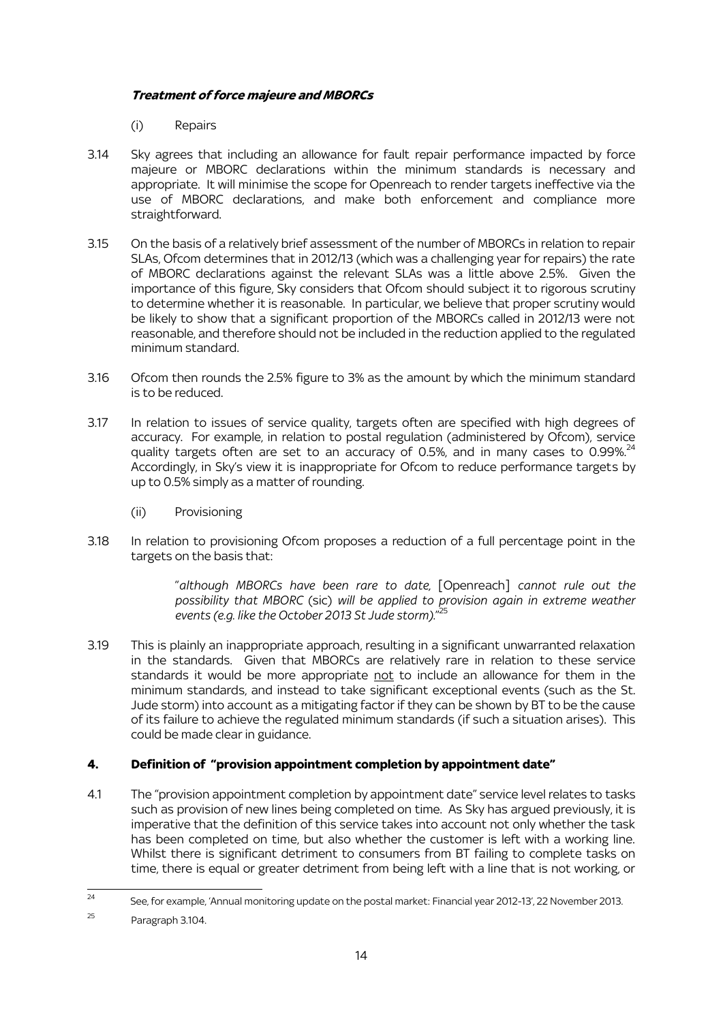# **Treatment of force majeure and MBORCs**

(i) Repairs

- 3.14 Sky agrees that including an allowance for fault repair performance impacted by force majeure or MBORC declarations within the minimum standards is necessary and appropriate. It will minimise the scope for Openreach to render targets ineffective via the use of MBORC declarations, and make both enforcement and compliance more straightforward.
- 3.15 On the basis of a relatively brief assessment of the number of MBORCs in relation to repair SLAs, Ofcom determines that in 2012/13 (which was a challenging year for repairs) the rate of MBORC declarations against the relevant SLAs was a little above 2.5%. Given the importance of this figure, Sky considers that Ofcom should subject it to rigorous scrutiny to determine whether it is reasonable. In particular, we believe that proper scrutiny would be likely to show that a significant proportion of the MBORCs called in 2012/13 were not reasonable, and therefore should not be included in the reduction applied to the regulated minimum standard.
- 3.16 Ofcom then rounds the 2.5% figure to 3% as the amount by which the minimum standard is to be reduced.
- 3.17 In relation to issues of service quality, targets often are specified with high degrees of accuracy. For example, in relation to postal regulation (administered by Ofcom), service quality targets often are set to an accuracy of 0.5%, and in many cases to  $0.99\%$ <sup>2</sup>  $\ddot{\phantom{0}}$ Accordingly, in Sky's view it is inappropriate for Ofcom to reduce performance targets by up to 0.5% simply as a matter of rounding.
	- (ii) Provisioning
- 3.18 In relation to provisioning Ofcom proposes a reduction of a full percentage point in the targets on the basis that:

"*although MBORCs have been rare to date,* [Openreach] *cannot rule out the possibility that MBORC* (sic) *will be applied to provision again in extreme weather events (e.g. like the October 2013 St Jude storm).*" 25

3.19 This is plainly an inappropriate approach, resulting in a significant unwarranted relaxation in the standards. Given that MBORCs are relatively rare in relation to these service standards it would be more appropriate not to include an allowance for them in the minimum standards, and instead to take significant exceptional events (such as the St. Jude storm) into account as a mitigating factor if they can be shown by BT to be the cause of its failure to achieve the regulated minimum standards (if such a situation arises). This could be made clear in guidance.

# **4. Definition of "provision appointment completion by appointment date"**

4.1 The "provision appointment completion by appointment date" service level relates to tasks such as provision of new lines being completed on time. As Sky has argued previously, it is imperative that the definition of this service takes into account not only whether the task has been completed on time, but also whether the customer is left with a working line. Whilst there is significant detriment to consumers from BT failing to complete tasks on time, there is equal or greater detriment from being left with a line that is not working, or

 $\overline{24}$ See, for example, 'Annual monitoring update on the postal market: Financial year 2012-13', 22 November 2013.

<sup>25</sup> Paragraph 3.104.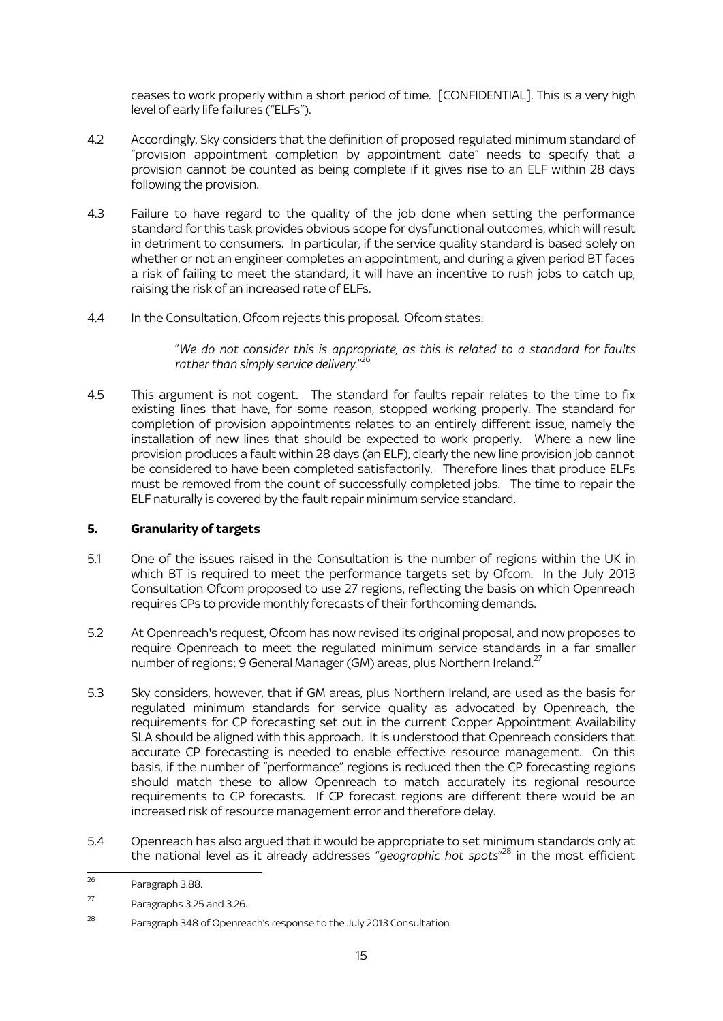ceases to work properly within a short period of time. [CONFIDENTIAL]. This is a very high level of early life failures ("ELFs").

- 4.2 Accordingly, Sky considers that the definition of proposed regulated minimum standard of "provision appointment completion by appointment date" needs to specify that a provision cannot be counted as being complete if it gives rise to an ELF within 28 days following the provision.
- 4.3 Failure to have regard to the quality of the job done when setting the performance standard for this task provides obvious scope for dysfunctional outcomes, which will result in detriment to consumers. In particular, if the service quality standard is based solely on whether or not an engineer completes an appointment, and during a given period BT faces a risk of failing to meet the standard, it will have an incentive to rush jobs to catch up, raising the risk of an increased rate of ELFs.
- 4.4 In the Consultation, Ofcom rejects this proposal. Ofcom states:

"*We do not consider this is appropriate, as this is related to a standard for faults rather than simply service delivery.*" 26

4.5 This argument is not cogent. The standard for faults repair relates to the time to fix existing lines that have, for some reason, stopped working properly. The standard for completion of provision appointments relates to an entirely different issue, namely the installation of new lines that should be expected to work properly. Where a new line provision produces a fault within 28 days (an ELF), clearly the new line provision job cannot be considered to have been completed satisfactorily. Therefore lines that produce ELFs must be removed from the count of successfully completed jobs. The time to repair the ELF naturally is covered by the fault repair minimum service standard.

# **5. Granularity of targets**

- 5.1 One of the issues raised in the Consultation is the number of regions within the UK in which BT is required to meet the performance targets set by Ofcom. In the July 2013 Consultation Ofcom proposed to use 27 regions, reflecting the basis on which Openreach requires CPs to provide monthly forecasts of their forthcoming demands.
- 5.2 At Openreach's request, Ofcom has now revised its original proposal, and now proposes to require Openreach to meet the regulated minimum service standards in a far smaller number of regions: 9 General Manager (GM) areas, plus Northern Ireland.<sup>2</sup>
- 5.3 Sky considers, however, that if GM areas, plus Northern Ireland, are used as the basis for regulated minimum standards for service quality as advocated by Openreach, the requirements for CP forecasting set out in the current Copper Appointment Availability SLA should be aligned with this approach. It is understood that Openreach considers that accurate CP forecasting is needed to enable effective resource management. On this basis, if the number of "performance" regions is reduced then the CP forecasting regions should match these to allow Openreach to match accurately its regional resource requirements to CP forecasts. If CP forecast regions are different there would be an increased risk of resource management error and therefore delay.
- 5.4 Openreach has also argued that it would be appropriate to set minimum standards only at the national level as it already addresses "*geographic hot spots*" <sup>28</sup> in the most efficient

 $26$ Paragraph 3.88.

<sup>27</sup> Paragraphs 3.25 and 3.26.

<sup>&</sup>lt;sup>28</sup> Paragraph 348 of Openreach's response to the July 2013 Consultation.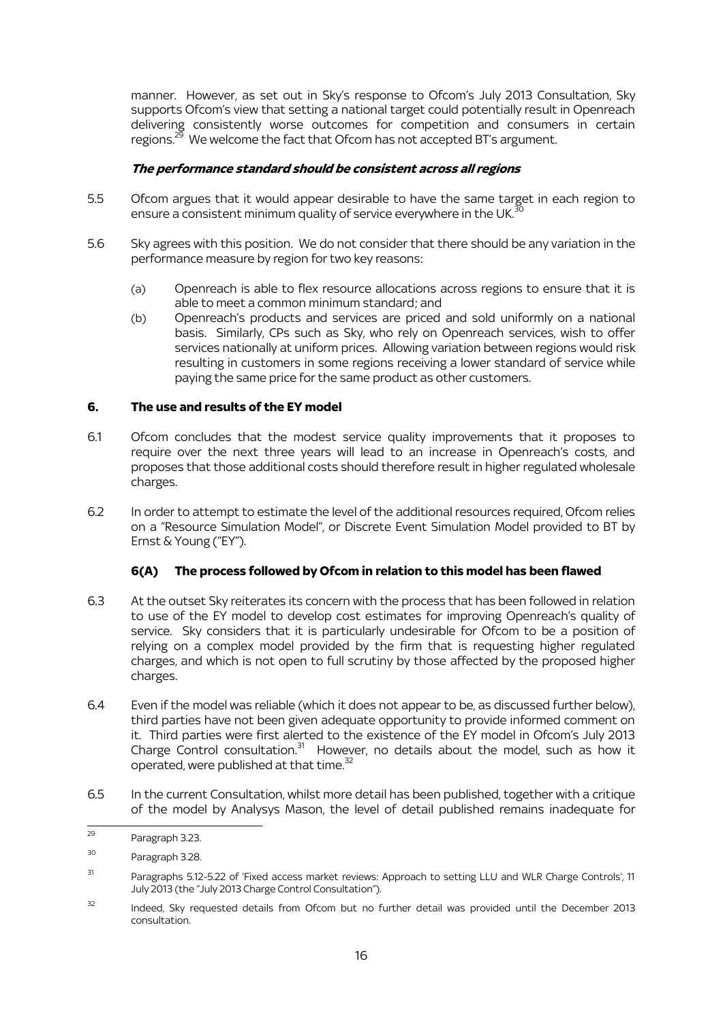manner. However, as set out in Sky's response to Ofcom's July 2013 Consultation, Sky supports Ofcom's view that setting a national target could potentially result in Openreach delivering consistently worse outcomes for competition and consumers in certain regions.<sup>29</sup> We welcome the fact that Ofcom has not accepted BT's argument.

### **The performance standard should be consistent across all regions**

- 5.5 Ofcom argues that it would appear desirable to have the same target in each region to ensure a consistent minimum quality of service everywhere in the UK.<sup>3</sup>  $\overline{a}$
- 5.6 Sky agrees with this position. We do not consider that there should be any variation in the performance measure by region for two key reasons:
	- (a) Openreach is able to flex resource allocations across regions to ensure that it is able to meet a common minimum standard; and
	- (b) Openreach's products and services are priced and sold uniformly on a national basis. Similarly, CPs such as Sky, who rely on Openreach services, wish to offer services nationally at uniform prices. Allowing variation between regions would risk resulting in customers in some regions receiving a lower standard of service while paying the same price for the same product as other customers.

### **6. The use and results of the EY model**

- 6.1 Ofcom concludes that the modest service quality improvements that it proposes to require over the next three years will lead to an increase in Openreach's costs, and proposes that those additional costs should therefore result in higher regulated wholesale charges.
- 6.2 In order to attempt to estimate the level of the additional resources required, Ofcom relies on a "Resource Simulation Model", or Discrete Event Simulation Model provided to BT by Ernst & Young ("EY").

# **6(A) The process followed by Ofcom in relation to this model has been flawed**

- 6.3 At the outset Sky reiterates its concern with the process that has been followed in relation to use of the EY model to develop cost estimates for improving Openreach's quality of service. Sky considers that it is particularly undesirable for Ofcom to be a position of relying on a complex model provided by the firm that is requesting higher regulated charges, and which is not open to full scrutiny by those affected by the proposed higher charges.
- 6.4 Even if the model was reliable (which it does not appear to be, as discussed further below), third parties have not been given adequate opportunity to provide informed comment on it. Third parties were first alerted to the existence of the EY model in Ofcom's July 2013 Charge Control consultation. $31$  However, no details about the model, such as how it operated, were published at that time.<sup>32</sup>
- 6.5 In the current Consultation, whilst more detail has been published, together with a critique of the model by Analysys Mason, the level of detail published remains inadequate for

<sup>29</sup> Paragraph 3.23.

<sup>30</sup> Paragraph 3.28.

<sup>&</sup>lt;sup>31</sup> Paragraphs 5.12-5.22 of 'Fixed access market reviews: Approach to setting LLU and WLR Charge Controls', 11 July 2013 (the "July 2013 Charge Control Consultation").

<sup>&</sup>lt;sup>32</sup> Indeed, Sky requested details from Ofcom but no further detail was provided until the December 2013 consultation.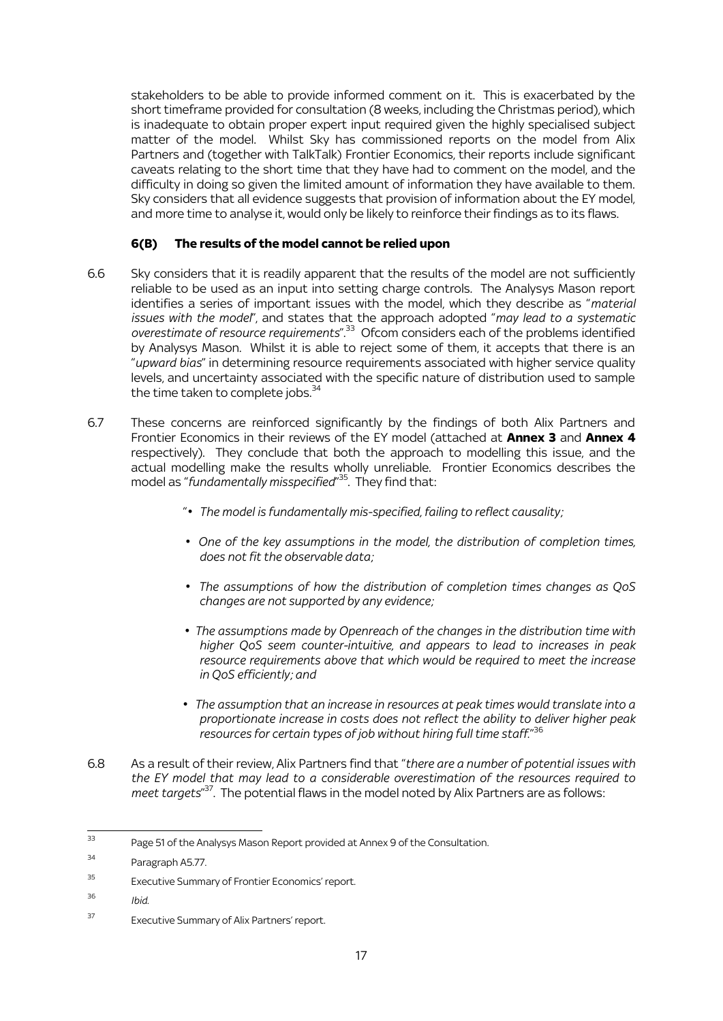stakeholders to be able to provide informed comment on it. This is exacerbated by the short timeframe provided for consultation (8 weeks, including the Christmas period), which is inadequate to obtain proper expert input required given the highly specialised subject matter of the model. Whilst Sky has commissioned reports on the model from Alix Partners and (together with TalkTalk) Frontier Economics, their reports include significant caveats relating to the short time that they have had to comment on the model, and the difficulty in doing so given the limited amount of information they have available to them. Sky considers that all evidence suggests that provision of information about the EY model, and more time to analyse it, would only be likely to reinforce their findings as to its flaws.

# **6(B) The results of the model cannot be relied upon**

- 6.6 Sky considers that it is readily apparent that the results of the model are not sufficiently reliable to be used as an input into setting charge controls. The Analysys Mason report identifies a series of important issues with the model, which they describe as "*material issues with the model*", and states that the approach adopted "*may lead to a systematic overestimate of resource requirements*".<sup>33</sup> Ofcom considers each of the problems identified by Analysys Mason. Whilst it is able to reject some of them, it accepts that there is an "*upward bias*" in determining resource requirements associated with higher service quality levels, and uncertainty associated with the specific nature of distribution used to sample the time taken to complete jobs. $34$
- 6.7 These concerns are reinforced significantly by the findings of both Alix Partners and Frontier Economics in their reviews of the EY model (attached at **Annex 3** and **Annex 4** respectively). They conclude that both the approach to modelling this issue, and the actual modelling make the results wholly unreliable. Frontier Economics describes the model as "*fundamentally misspecified*" <sup>35</sup>. They find that:
	- "*Ω The model is fundamentally mis-specified, failing to reflect causality;*
	- *Ω One of the key assumptions in the model, the distribution of completion times, does not fit the observable data;*
	- **•** The assumptions of how the distribution of completion times changes as QoS *changes are not supported by any evidence;*
	- *Ω The assumptions made by Openreach of the changes in the distribution time with higher QoS seem counter-intuitive, and appears to lead to increases in peak resource requirements above that which would be required to meet the increase in QoS efficiently; and*
	- *Ω The assumption that an increase in resources at peak times would translate into a proportionate increase in costs does not reflect the ability to deliver higher peak resources for certain types of job without hiring full time staff.*" 36
- 6.8 As a result of their review, Alix Partners find that "*there are a number of potential issues with the EY model that may lead to a considerable overestimation of the resources required to meet targets*" <sup>37</sup>. The potential flaws in the model noted by Alix Partners are as follows:

<sup>36</sup> *Ibid*.

<sup>33</sup> Page 51 of the Analysys Mason Report provided at Annex 9 of the Consultation.

<sup>34</sup> Paragraph A5.77.

<sup>35</sup> Executive Summary of Frontier Economics' report.

<sup>37</sup> Executive Summary of Alix Partners' report.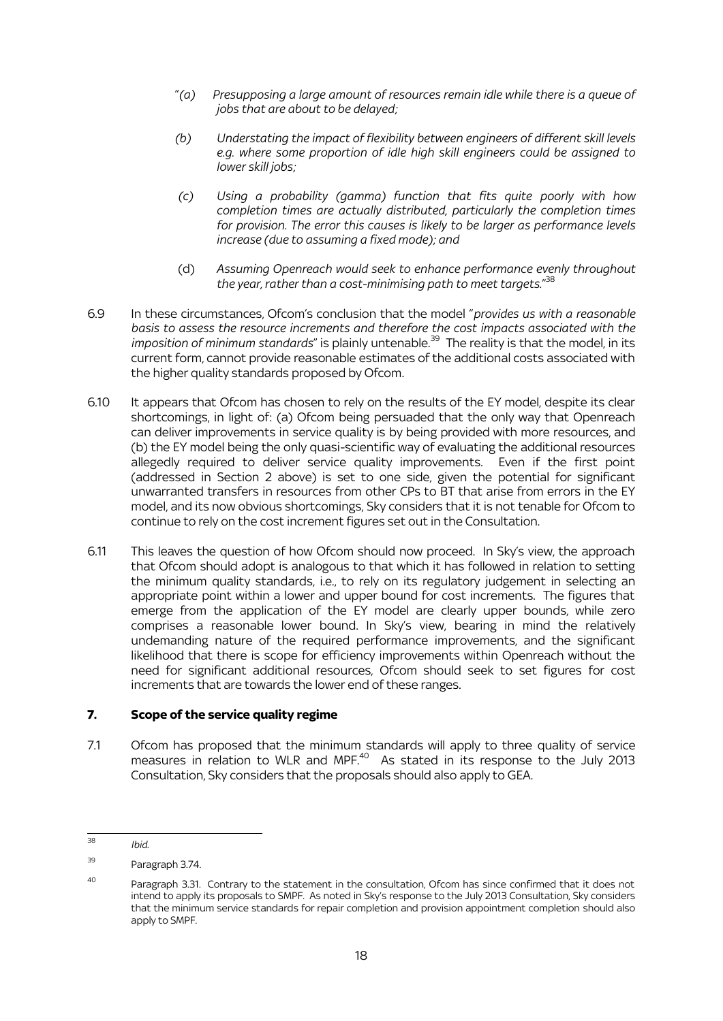- "*(a) Presupposing a large amount of resources remain idle while there is a queue of jobs that are about to be delayed;*
- *(b) Understating the impact of flexibility between engineers of different skill levels e.g. where some proportion of idle high skill engineers could be assigned to lower skill jobs;*
- *(c) Using a probability (gamma) function that fits quite poorly with how completion times are actually distributed, particularly the completion times for provision. The error this causes is likely to be larger as performance levels increase (due to assuming a fixed mode); and*
- (d) *Assuming Openreach would seek to enhance performance evenly throughout the year, rather than a cost-minimising path to meet targets.*" 38
- 6.9 In these circumstances, Ofcom's conclusion that the model "*provides us with a reasonable basis to assess the resource increments and therefore the cost impacts associated with the*  imposition of minimum standards" is plainly untenable.<sup>39</sup> The reality is that the model, in its current form, cannot provide reasonable estimates of the additional costs associated with the higher quality standards proposed by Ofcom.
- 6.10 It appears that Ofcom has chosen to rely on the results of the EY model, despite its clear shortcomings, in light of: (a) Ofcom being persuaded that the only way that Openreach can deliver improvements in service quality is by being provided with more resources, and (b) the EY model being the only quasi-scientific way of evaluating the additional resources allegedly required to deliver service quality improvements. Even if the first point (addressed in Section 2 above) is set to one side, given the potential for significant unwarranted transfers in resources from other CPs to BT that arise from errors in the EY model, and its now obvious shortcomings, Sky considers that it is not tenable for Ofcom to continue to rely on the cost increment figures set out in the Consultation.
- 6.11 This leaves the question of how Ofcom should now proceed. In Sky's view, the approach that Ofcom should adopt is analogous to that which it has followed in relation to setting the minimum quality standards, i.e., to rely on its regulatory judgement in selecting an appropriate point within a lower and upper bound for cost increments. The figures that emerge from the application of the EY model are clearly upper bounds, while zero comprises a reasonable lower bound. In Sky's view, bearing in mind the relatively undemanding nature of the required performance improvements, and the significant likelihood that there is scope for efficiency improvements within Openreach without the need for significant additional resources, Ofcom should seek to set figures for cost increments that are towards the lower end of these ranges.

# **7. Scope of the service quality regime**

7.1 Ofcom has proposed that the minimum standards will apply to three quality of service measures in relation to WLR and MPF.<sup>40</sup> As stated in its response to the July 2013 Consultation, Sky considers that the proposals should also apply to GEA.

 $\overline{38}$ <sup>38</sup> *Ibid*.

<sup>39</sup> Paragraph 3.74.

<sup>&</sup>lt;sup>40</sup> Paragraph 3.31. Contrary to the statement in the consultation. Ofcom has since confirmed that it does not intend to apply its proposals to SMPF. As noted in Sky's response to the July 2013 Consultation, Sky considers that the minimum service standards for repair completion and provision appointment completion should also apply to SMPF.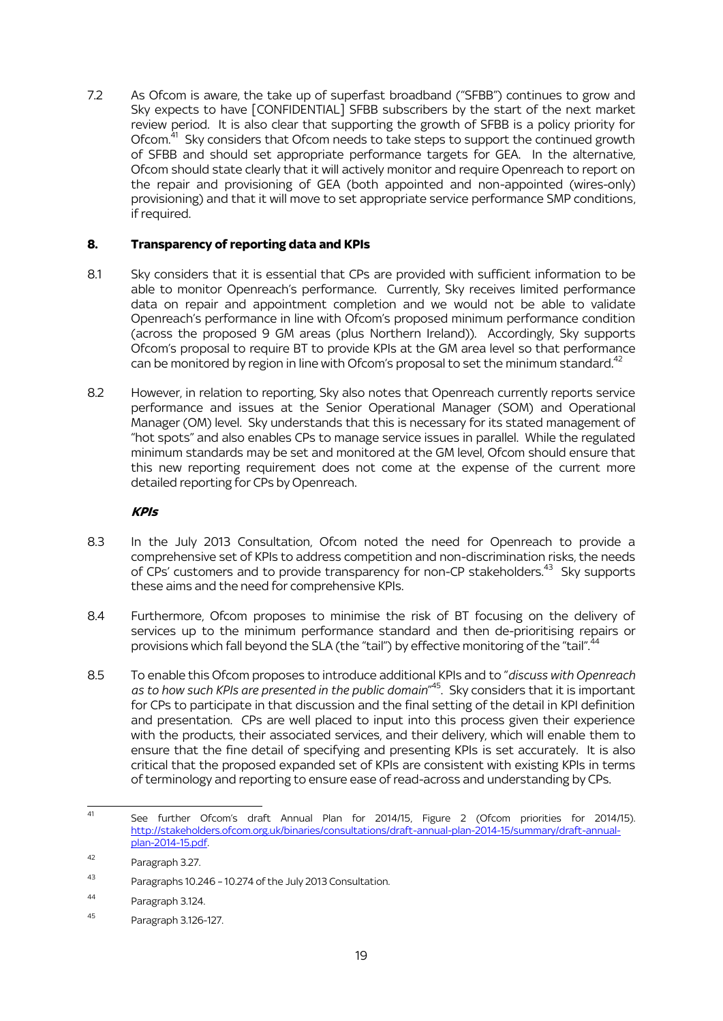7.2 As Ofcom is aware, the take up of superfast broadband ("SFBB") continues to grow and Sky expects to have [CONFIDENTIAL] SFBB subscribers by the start of the next market review period. It is also clear that supporting the growth of SFBB is a policy priority for Ofcom.<sup>41</sup> Sky considers that Ofcom needs to take steps to support the continued growth of SFBB and should set appropriate performance targets for GEA. In the alternative, Ofcom should state clearly that it will actively monitor and require Openreach to report on the repair and provisioning of GEA (both appointed and non-appointed (wires-only) provisioning) and that it will move to set appropriate service performance SMP conditions, if required.

## **8. Transparency of reporting data and KPIs**

- 8.1 Sky considers that it is essential that CPs are provided with sufficient information to be able to monitor Openreach's performance. Currently, Sky receives limited performance data on repair and appointment completion and we would not be able to validate Openreach's performance in line with Ofcom's proposed minimum performance condition (across the proposed 9 GM areas (plus Northern Ireland)). Accordingly, Sky supports Ofcom's proposal to require BT to provide KPIs at the GM area level so that performance can be monitored by region in line with Ofcom's proposal to set the minimum standard.<sup>42</sup>
- 8.2 However, in relation to reporting, Sky also notes that Openreach currently reports service performance and issues at the Senior Operational Manager (SOM) and Operational Manager (OM) level. Sky understands that this is necessary for its stated management of "hot spots" and also enables CPs to manage service issues in parallel. While the regulated minimum standards may be set and monitored at the GM level, Ofcom should ensure that this new reporting requirement does not come at the expense of the current more detailed reporting for CPs by Openreach.

# **KPIs**

- 8.3 In the July 2013 Consultation, Ofcom noted the need for Openreach to provide a comprehensive set of KPIs to address competition and non-discrimination risks, the needs of CPs' customers and to provide transparency for non-CP stakeholders.<sup>43</sup> Sky supports these aims and the need for comprehensive KPIs.
- 8.4 Furthermore, Ofcom proposes to minimise the risk of BT focusing on the delivery of services up to the minimum performance standard and then de-prioritising repairs or provisions which fall beyond the SLA (the "tail") by effective monitoring of the "tail".<sup>44</sup>
- 8.5 To enable this Ofcom proposes to introduce additional KPIs and to "*discuss with Openreach as to how such KPIs are presented in the public domain*" 45 . Sky considers that it is important for CPs to participate in that discussion and the final setting of the detail in KPI definition and presentation. CPs are well placed to input into this process given their experience with the products, their associated services, and their delivery, which will enable them to ensure that the fine detail of specifying and presenting KPIs is set accurately. It is also critical that the proposed expanded set of KPIs are consistent with existing KPIs in terms of terminology and reporting to ensure ease of read-across and understanding by CPs.

 $41$ See further Ofcom's draft Annual Plan for 2014/15, Figure 2 (Ofcom priorities for 2014/15). [http://stakeholders.ofcom.org.uk/binaries/consultations/draft-annual-plan-2014-15/summary/draft-annual](http://stakeholders.ofcom.org.uk/binaries/consultations/draft-annual-plan-2014-15/summary/draft-annual-plan-2014-15.pdf)[plan-2014-15.pdf.](http://stakeholders.ofcom.org.uk/binaries/consultations/draft-annual-plan-2014-15/summary/draft-annual-plan-2014-15.pdf)

<sup>42</sup> Paragraph 3.27.

<sup>43</sup> Paragraphs 10.246 – 10.274 of the July 2013 Consultation.

<sup>44</sup> Paragraph 3.124.

<sup>45</sup> Paragraph 3.126-127.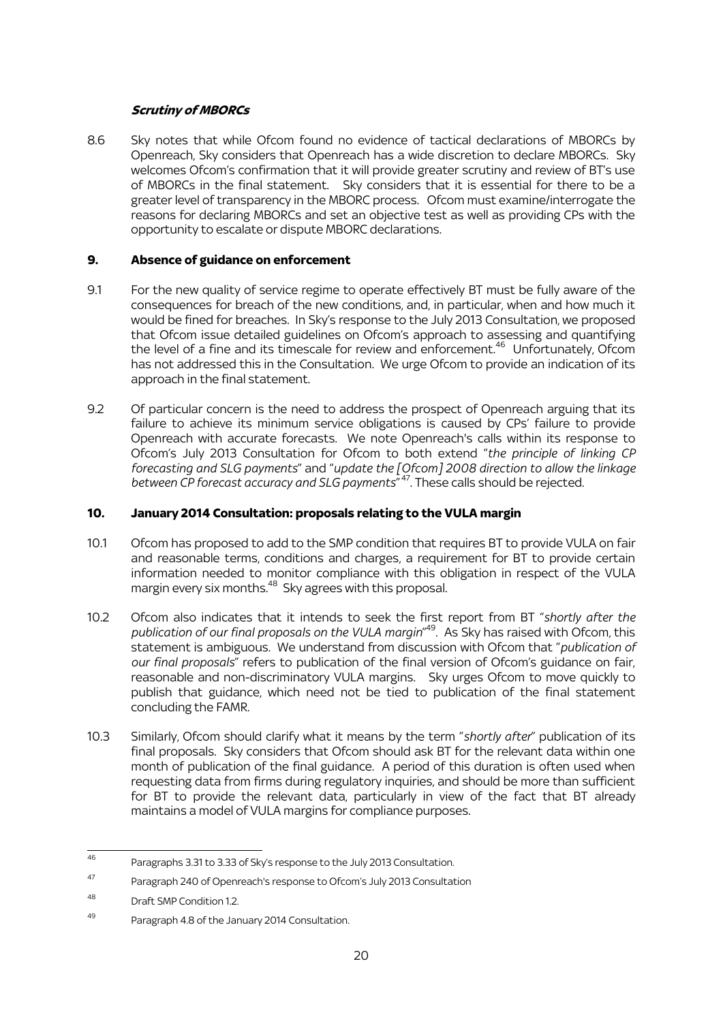# **Scrutiny of MBORCs**

8.6 Sky notes that while Ofcom found no evidence of tactical declarations of MBORCs by Openreach, Sky considers that Openreach has a wide discretion to declare MBORCs. Sky welcomes Ofcom's confirmation that it will provide greater scrutiny and review of BT's use of MBORCs in the final statement. Sky considers that it is essential for there to be a greater level of transparency in the MBORC process. Ofcom must examine/interrogate the reasons for declaring MBORCs and set an objective test as well as providing CPs with the opportunity to escalate or dispute MBORC declarations.

### **9. Absence of guidance on enforcement**

- 9.1 For the new quality of service regime to operate effectively BT must be fully aware of the consequences for breach of the new conditions, and, in particular, when and how much it would be fined for breaches. In Sky's response to the July 2013 Consultation, we proposed that Ofcom issue detailed guidelines on Ofcom's approach to assessing and quantifying the level of a fine and its timescale for review and enforcement.<sup>46</sup> Unfortunately, Ofcom has not addressed this in the Consultation. We urge Ofcom to provide an indication of its approach in the final statement.
- 9.2 Of particular concern is the need to address the prospect of Openreach arguing that its failure to achieve its minimum service obligations is caused by CPs' failure to provide Openreach with accurate forecasts. We note Openreach's calls within its response to Ofcom's July 2013 Consultation for Ofcom to both extend "*the principle of linking CP forecasting and SLG payments*" and "*update the [Ofcom] 2008 direction to allow the linkage between CP forecast accuracy and SLG payments*" 47 . These calls should be rejected.

## **10. January 2014 Consultation: proposals relating to the VULA margin**

- 10.1 Ofcom has proposed to add to the SMP condition that requires BT to provide VULA on fair and reasonable terms, conditions and charges, a requirement for BT to provide certain information needed to monitor compliance with this obligation in respect of the VULA margin every six months.<sup>48</sup> Sky agrees with this proposal.
- 10.2 Ofcom also indicates that it intends to seek the first report from BT "*shortly after the publication of our final proposals on the VULA margin*" <sup>49</sup>. As Sky has raised with Ofcom, this statement is ambiguous. We understand from discussion with Ofcom that "*publication of our final proposals*" refers to publication of the final version of Ofcom's guidance on fair, reasonable and non-discriminatory VULA margins. Sky urges Ofcom to move quickly to publish that guidance, which need not be tied to publication of the final statement concluding the FAMR.
- 10.3 Similarly, Ofcom should clarify what it means by the term "*shortly after*" publication of its final proposals. Sky considers that Ofcom should ask BT for the relevant data within one month of publication of the final guidance. A period of this duration is often used when requesting data from firms during regulatory inquiries, and should be more than sufficient for BT to provide the relevant data, particularly in view of the fact that BT already maintains a model of VULA margins for compliance purposes.

 $46$ Paragraphs 3.31 to 3.33 of Sky's response to the July 2013 Consultation.

<sup>47</sup> Paragraph 240 of Openreach's response to Ofcom's July 2013 Consultation

<sup>48</sup> Draft SMP Condition 1.2.

<sup>49</sup> Paragraph 4.8 of the January 2014 Consultation.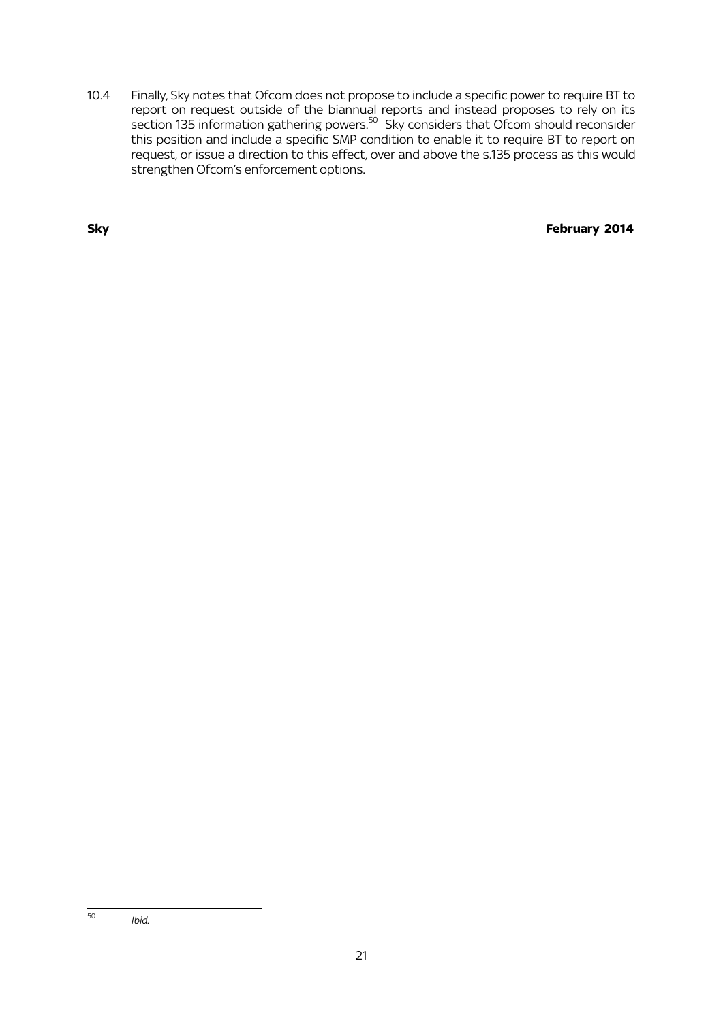10.4 Finally, Sky notes that Ofcom does not propose to include a specific power to require BT to report on request outside of the biannual reports and instead proposes to rely on its section 135 information gathering powers.<sup>50</sup> Sky considers that Ofcom should reconsider this position and include a specific SMP condition to enable it to require BT to report on request, or issue a direction to this effect, over and above the s.135 process as this would strengthen Ofcom's enforcement options.

**Sky** February 2014

 $\overline{a}$ <sup>50</sup> *Ibid*.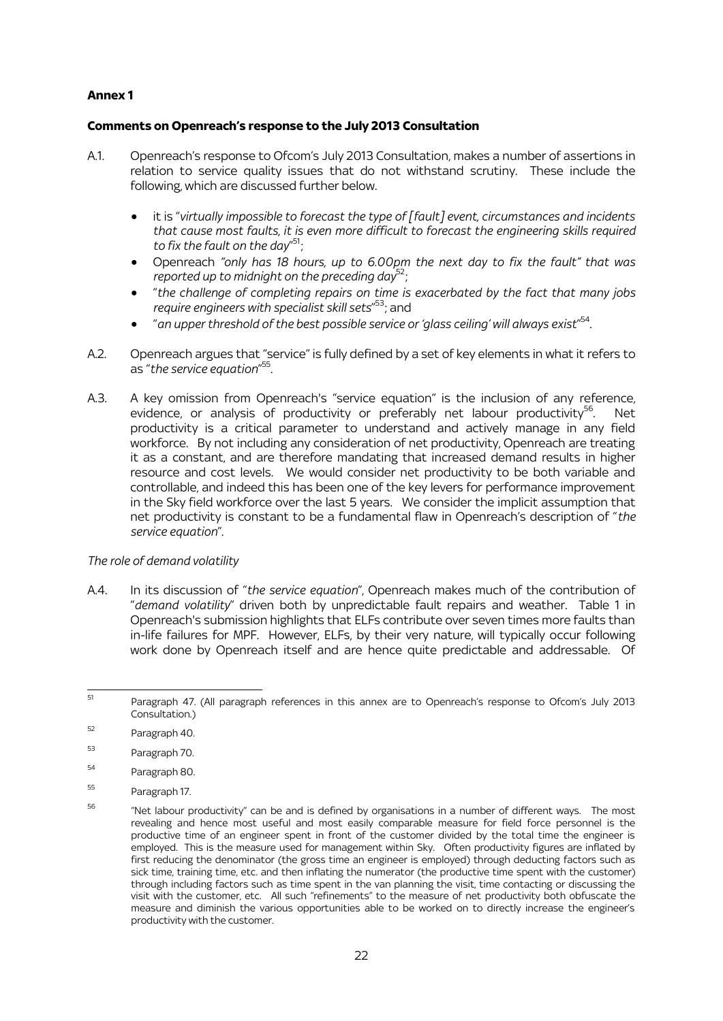### **Annex 1**

### **Comments on Openreach's response to the July 2013 Consultation**

- A.1. Openreach's response to Ofcom's July 2013 Consultation, makes a number of assertions in relation to service quality issues that do not withstand scrutiny. These include the following, which are discussed further below.
	- it is "*virtually impossible to forecast the type of [fault] event, circumstances and incidents that cause most faults, it is even more difficult to forecast the engineering skills required*  to fix the fault on the day"<sup>51</sup>;
	- Openreach *"only has 18 hours, up to 6.00pm the next day to fix the fault" that was*  reported up to midnight on the preceding day<sup>52</sup>;
	- "*the challenge of completing repairs on time is exacerbated by the fact that many jobs*  require engineers with specialist skill sets<sup>"53</sup>; and
	- "*an upper threshold of the best possible service or 'glass ceiling' will always exist*" 54 .
- A.2. Openreach argues that "service" is fully defined by a set of key elements in what it refers to as "*the service equation*" 55 .
- A.3. A key omission from Openreach's "service equation" is the inclusion of any reference, evidence, or analysis of productivity or preferably net labour productivity<sup>56</sup>. . Net productivity is a critical parameter to understand and actively manage in any field workforce. By not including any consideration of net productivity, Openreach are treating it as a constant, and are therefore mandating that increased demand results in higher resource and cost levels. We would consider net productivity to be both variable and controllable, and indeed this has been one of the key levers for performance improvement in the Sky field workforce over the last 5 years. We consider the implicit assumption that net productivity is constant to be a fundamental flaw in Openreach's description of "*the service equation*".

### *The role of demand volatility*

A.4. In its discussion of "*the service equation*", Openreach makes much of the contribution of "*demand volatility*" driven both by unpredictable fault repairs and weather. Table 1 in Openreach's submission highlights that ELFs contribute over seven times more faults than in-life failures for MPF. However, ELFs, by their very nature, will typically occur following work done by Openreach itself and are hence quite predictable and addressable. Of

- <sup>53</sup> Paragraph 70.
- <sup>54</sup> Paragraph 80.
- <sup>55</sup> Paragraph 17.

į <sup>51</sup> Paragraph 47. (All paragraph references in this annex are to Openreach's response to Ofcom's July 2013 Consultation.)

<sup>52</sup> Paragraph 40.

<sup>56</sup> "Net labour productivity" can be and is defined by organisations in a number of different ways. The most revealing and hence most useful and most easily comparable measure for field force personnel is the productive time of an engineer spent in front of the customer divided by the total time the engineer is employed. This is the measure used for management within Sky. Often productivity figures are inflated by first reducing the denominator (the gross time an engineer is employed) through deducting factors such as sick time, training time, etc. and then inflating the numerator (the productive time spent with the customer) through including factors such as time spent in the van planning the visit, time contacting or discussing the visit with the customer, etc. All such "refinements" to the measure of net productivity both obfuscate the measure and diminish the various opportunities able to be worked on to directly increase the engineer's productivity with the customer.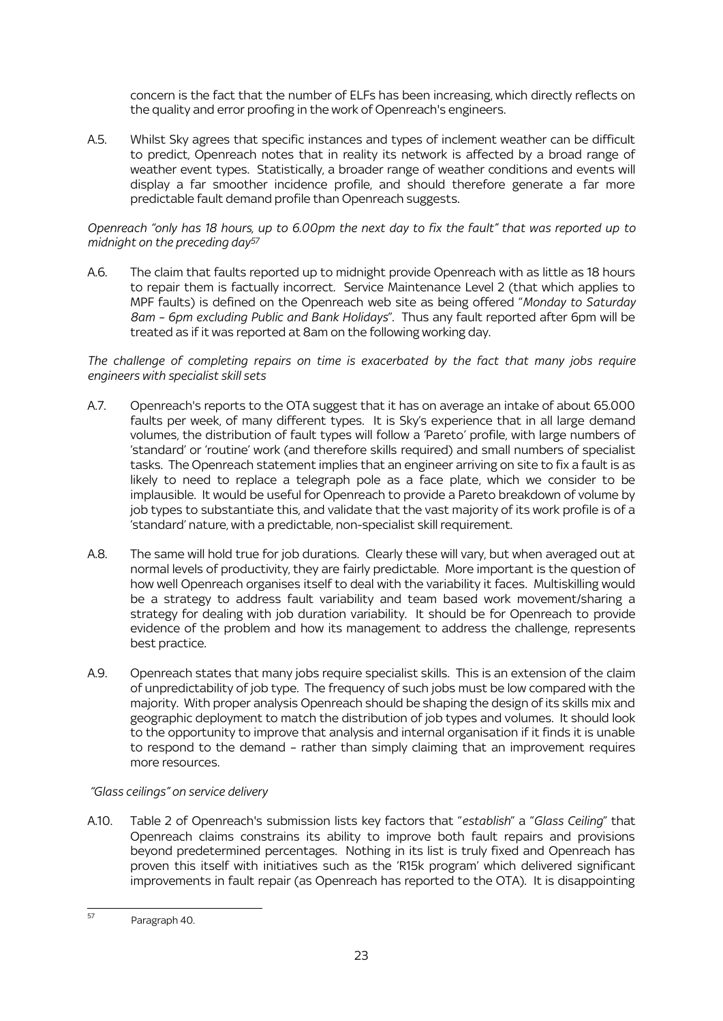concern is the fact that the number of ELFs has been increasing, which directly reflects on the quality and error proofing in the work of Openreach's engineers.

A.5. Whilst Sky agrees that specific instances and types of inclement weather can be difficult to predict, Openreach notes that in reality its network is affected by a broad range of weather event types. Statistically, a broader range of weather conditions and events will display a far smoother incidence profile, and should therefore generate a far more predictable fault demand profile than Openreach suggests.

### *Openreach "only has 18 hours, up to 6.00pm the next day to fix the fault" that was reported up to midnight on the preceding day<sup>57</sup>*

A.6. The claim that faults reported up to midnight provide Openreach with as little as 18 hours to repair them is factually incorrect. Service Maintenance Level 2 (that which applies to MPF faults) is defined on the Openreach web site as being offered "*Monday to Saturday 8am – 6pm excluding Public and Bank Holidays*". Thus any fault reported after 6pm will be treated as if it was reported at 8am on the following working day.

*The challenge of completing repairs on time is exacerbated by the fact that many jobs require engineers with specialist skill sets*

- A.7. Openreach's reports to the OTA suggest that it has on average an intake of about 65.000 faults per week, of many different types. It is Sky's experience that in all large demand volumes, the distribution of fault types will follow a 'Pareto' profile, with large numbers of 'standard' or 'routine' work (and therefore skills required) and small numbers of specialist tasks. The Openreach statement implies that an engineer arriving on site to fix a fault is as likely to need to replace a telegraph pole as a face plate, which we consider to be implausible. It would be useful for Openreach to provide a Pareto breakdown of volume by job types to substantiate this, and validate that the vast majority of its work profile is of a 'standard' nature, with a predictable, non-specialist skill requirement.
- A.8. The same will hold true for job durations. Clearly these will vary, but when averaged out at normal levels of productivity, they are fairly predictable. More important is the question of how well Openreach organises itself to deal with the variability it faces. Multiskilling would be a strategy to address fault variability and team based work movement/sharing a strategy for dealing with job duration variability. It should be for Openreach to provide evidence of the problem and how its management to address the challenge, represents best practice.
- A.9. Openreach states that many jobs require specialist skills. This is an extension of the claim of unpredictability of job type. The frequency of such jobs must be low compared with the majority. With proper analysis Openreach should be shaping the design of its skills mix and geographic deployment to match the distribution of job types and volumes. It should look to the opportunity to improve that analysis and internal organisation if it finds it is unable to respond to the demand – rather than simply claiming that an improvement requires more resources.

# *"Glass ceilings" on service delivery*

A.10. Table 2 of Openreach's submission lists key factors that "*establish*" a "*Glass Ceiling*" that Openreach claims constrains its ability to improve both fault repairs and provisions beyond predetermined percentages. Nothing in its list is truly fixed and Openreach has proven this itself with initiatives such as the 'R15k program' which delivered significant improvements in fault repair (as Openreach has reported to the OTA). It is disappointing

<sup>.</sup> <sup>57</sup> Paragraph 40.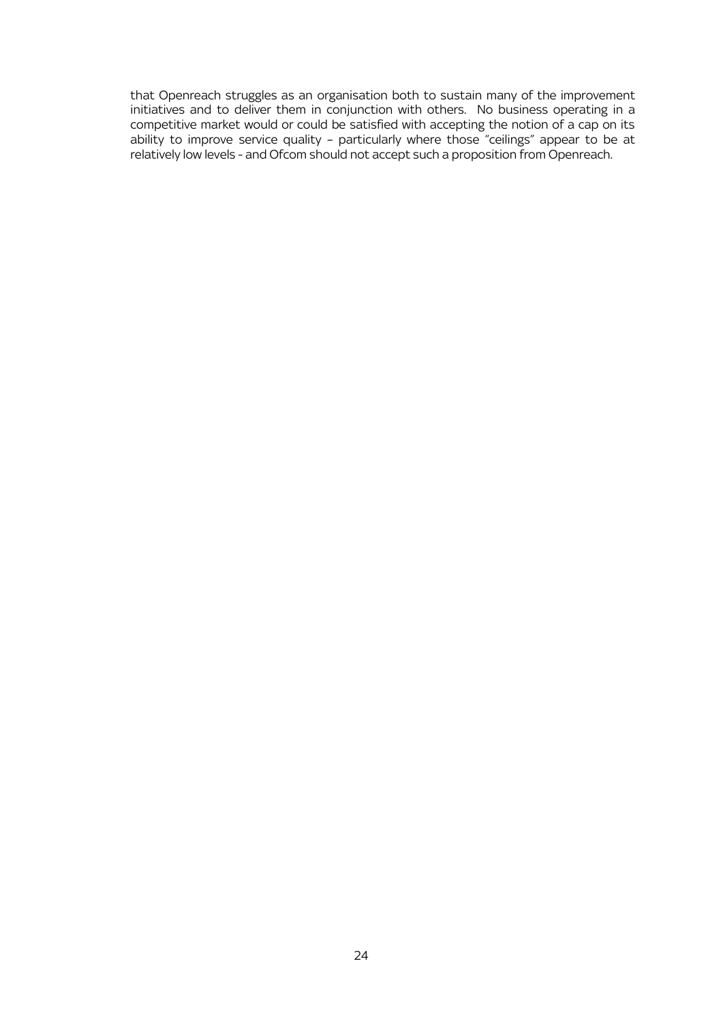that Openreach struggles as an organisation both to sustain many of the improvement initiatives and to deliver them in conjunction with others. No business operating in a competitive market would or could be satisfied with accepting the notion of a cap on its ability to improve service quality – particularly where those "ceilings" appear to be at relatively low levels - and Ofcom should not accept such a proposition from Openreach.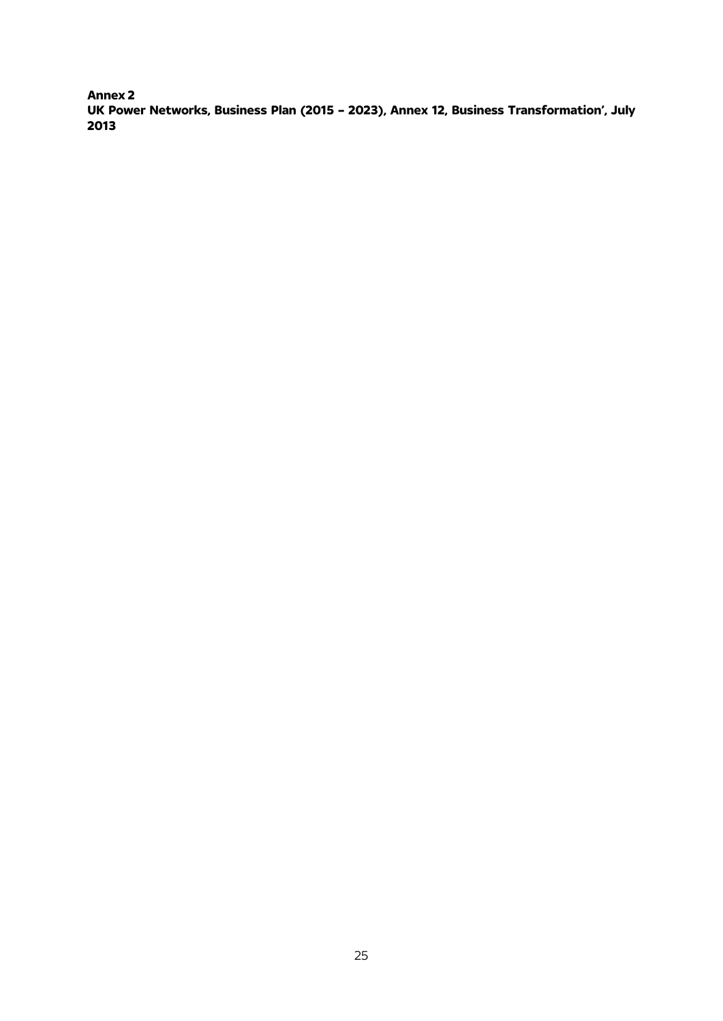**Annex 2 UK Power Networks, Business Plan (2015 – 2023), Annex 12, Business Transformation', July 2013**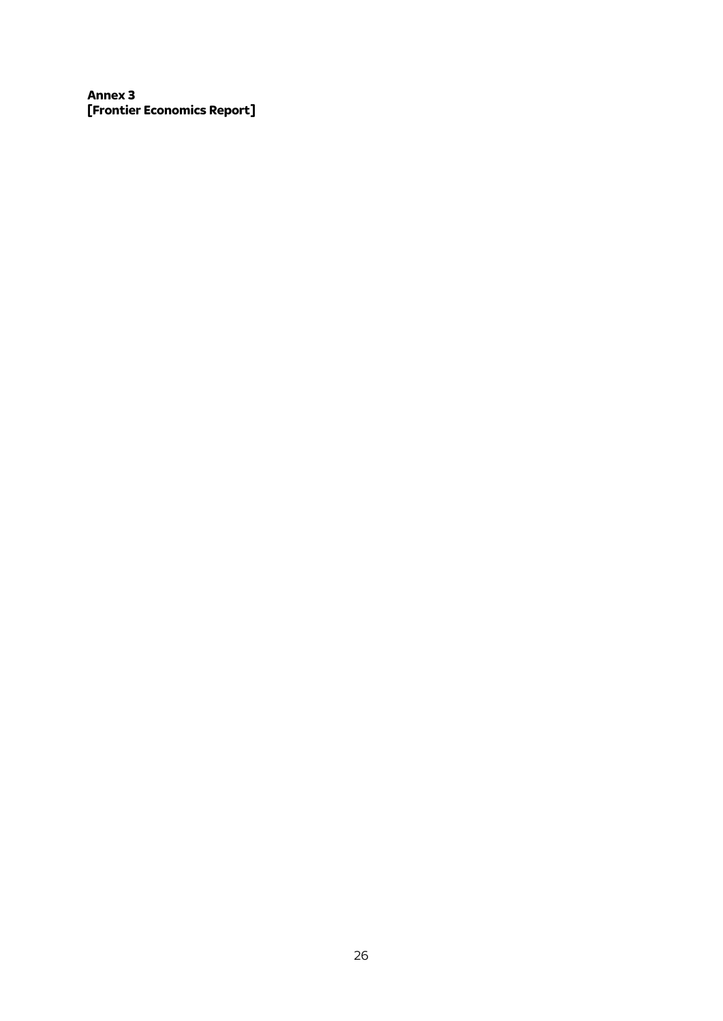**Annex 3 [Frontier Economics Report]**